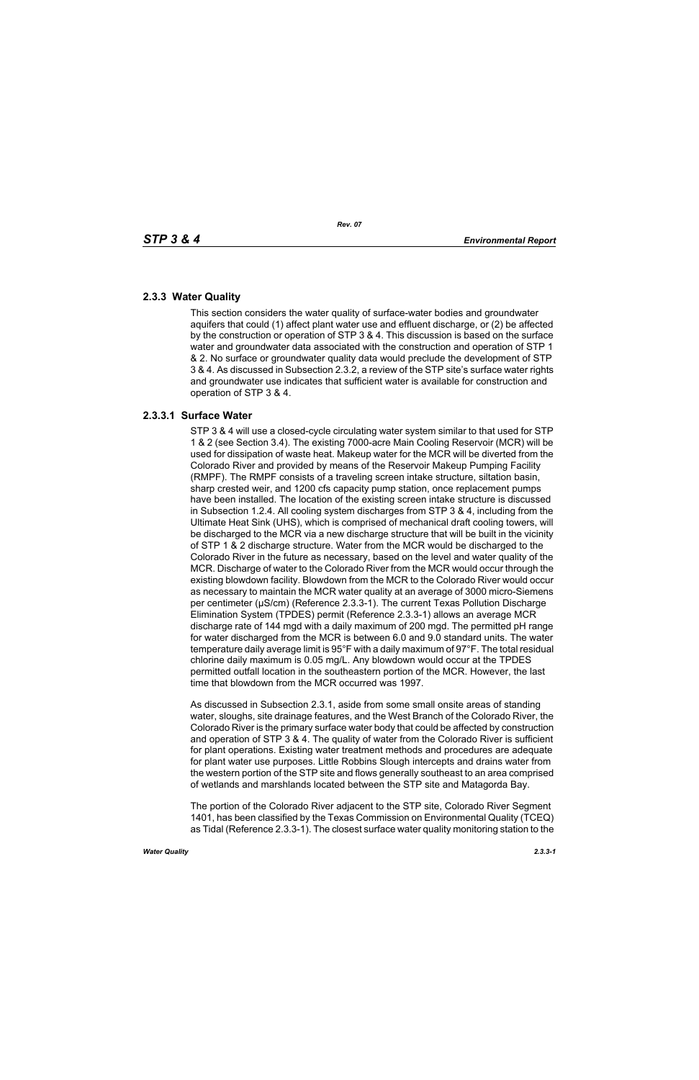## **2.3.3 Water Quality**

This section considers the water quality of surface-water bodies and groundwater aquifers that could (1) affect plant water use and effluent discharge, or (2) be affected by the construction or operation of STP 3 & 4. This discussion is based on the surface water and groundwater data associated with the construction and operation of STP 1 & 2. No surface or groundwater quality data would preclude the development of STP 3 & 4. As discussed in Subsection 2.3.2, a review of the STP site's surface water rights and groundwater use indicates that sufficient water is available for construction and operation of STP 3 & 4.

## **2.3.3.1 Surface Water**

STP 3 & 4 will use a closed-cycle circulating water system similar to that used for STP 1 & 2 (see Section 3.4). The existing 7000-acre Main Cooling Reservoir (MCR) will be used for dissipation of waste heat. Makeup water for the MCR will be diverted from the Colorado River and provided by means of the Reservoir Makeup Pumping Facility (RMPF). The RMPF consists of a traveling screen intake structure, siltation basin, sharp crested weir, and 1200 cfs capacity pump station, once replacement pumps have been installed. The location of the existing screen intake structure is discussed in Subsection 1.2.4. All cooling system discharges from STP 3 & 4, including from the Ultimate Heat Sink (UHS), which is comprised of mechanical draft cooling towers, will be discharged to the MCR via a new discharge structure that will be built in the vicinity of STP 1 & 2 discharge structure. Water from the MCR would be discharged to the Colorado River in the future as necessary, based on the level and water quality of the MCR. Discharge of water to the Colorado River from the MCR would occur through the existing blowdown facility. Blowdown from the MCR to the Colorado River would occur as necessary to maintain the MCR water quality at an average of 3000 micro-Siemens per centimeter (µS/cm) (Reference 2.3.3-1). The current Texas Pollution Discharge Elimination System (TPDES) permit (Reference 2.3.3-1) allows an average MCR discharge rate of 144 mgd with a daily maximum of 200 mgd. The permitted pH range for water discharged from the MCR is between 6.0 and 9.0 standard units. The water temperature daily average limit is 95°F with a daily maximum of 97°F. The total residual chlorine daily maximum is 0.05 mg/L. Any blowdown would occur at the TPDES permitted outfall location in the southeastern portion of the MCR. However, the last time that blowdown from the MCR occurred was 1997.

As discussed in Subsection 2.3.1, aside from some small onsite areas of standing water, sloughs, site drainage features, and the West Branch of the Colorado River, the Colorado River is the primary surface water body that could be affected by construction and operation of STP 3 & 4. The quality of water from the Colorado River is sufficient for plant operations. Existing water treatment methods and procedures are adequate for plant water use purposes. Little Robbins Slough intercepts and drains water from the western portion of the STP site and flows generally southeast to an area comprised of wetlands and marshlands located between the STP site and Matagorda Bay.

The portion of the Colorado River adjacent to the STP site, Colorado River Segment 1401, has been classified by the Texas Commission on Environmental Quality (TCEQ) as Tidal (Reference 2.3.3-1). The closest surface water quality monitoring station to the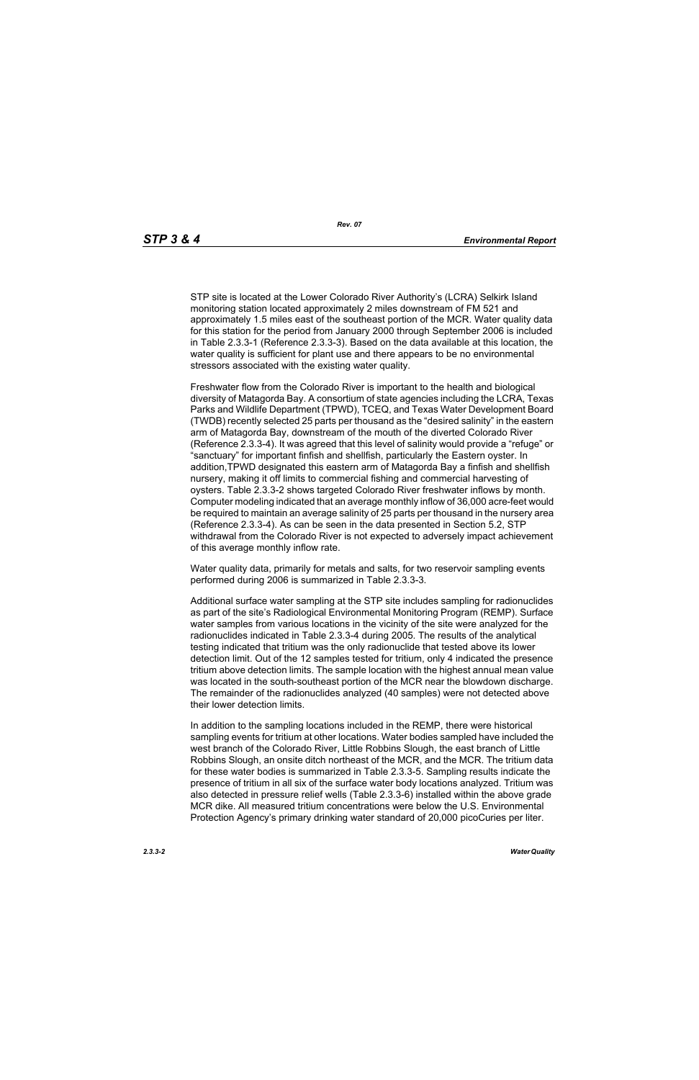STP site is located at the Lower Colorado River Authority's (LCRA) Selkirk Island monitoring station located approximately 2 miles downstream of FM 521 and approximately 1.5 miles east of the southeast portion of the MCR. Water quality data for this station for the period from January 2000 through September 2006 is included in Table 2.3.3-1 (Reference 2.3.3-3). Based on the data available at this location, the water quality is sufficient for plant use and there appears to be no environmental stressors associated with the existing water quality.

Freshwater flow from the Colorado River is important to the health and biological diversity of Matagorda Bay. A consortium of state agencies including the LCRA, Texas Parks and Wildlife Department (TPWD), TCEQ, and Texas Water Development Board (TWDB) recently selected 25 parts per thousand as the "desired salinity" in the eastern arm of Matagorda Bay, downstream of the mouth of the diverted Colorado River (Reference 2.3.3-4). It was agreed that this level of salinity would provide a "refuge" or "sanctuary" for important finfish and shellfish, particularly the Eastern oyster. In addition,TPWD designated this eastern arm of Matagorda Bay a finfish and shellfish nursery, making it off limits to commercial fishing and commercial harvesting of oysters. Table 2.3.3-2 shows targeted Colorado River freshwater inflows by month. Computer modeling indicated that an average monthly inflow of 36,000 acre-feet would be required to maintain an average salinity of 25 parts per thousand in the nursery area (Reference 2.3.3-4). As can be seen in the data presented in Section 5.2, STP withdrawal from the Colorado River is not expected to adversely impact achievement of this average monthly inflow rate.

Water quality data, primarily for metals and salts, for two reservoir sampling events performed during 2006 is summarized in Table 2.3.3-3.

Additional surface water sampling at the STP site includes sampling for radionuclides as part of the site's Radiological Environmental Monitoring Program (REMP). Surface water samples from various locations in the vicinity of the site were analyzed for the radionuclides indicated in Table 2.3.3-4 during 2005. The results of the analytical testing indicated that tritium was the only radionuclide that tested above its lower detection limit. Out of the 12 samples tested for tritium, only 4 indicated the presence tritium above detection limits. The sample location with the highest annual mean value was located in the south-southeast portion of the MCR near the blowdown discharge. The remainder of the radionuclides analyzed (40 samples) were not detected above their lower detection limits.

In addition to the sampling locations included in the REMP, there were historical sampling events for tritium at other locations. Water bodies sampled have included the west branch of the Colorado River, Little Robbins Slough, the east branch of Little Robbins Slough, an onsite ditch northeast of the MCR, and the MCR. The tritium data for these water bodies is summarized in Table 2.3.3-5. Sampling results indicate the presence of tritium in all six of the surface water body locations analyzed. Tritium was also detected in pressure relief wells (Table 2.3.3-6) installed within the above grade MCR dike. All measured tritium concentrations were below the U.S. Environmental Protection Agency's primary drinking water standard of 20,000 picoCuries per liter.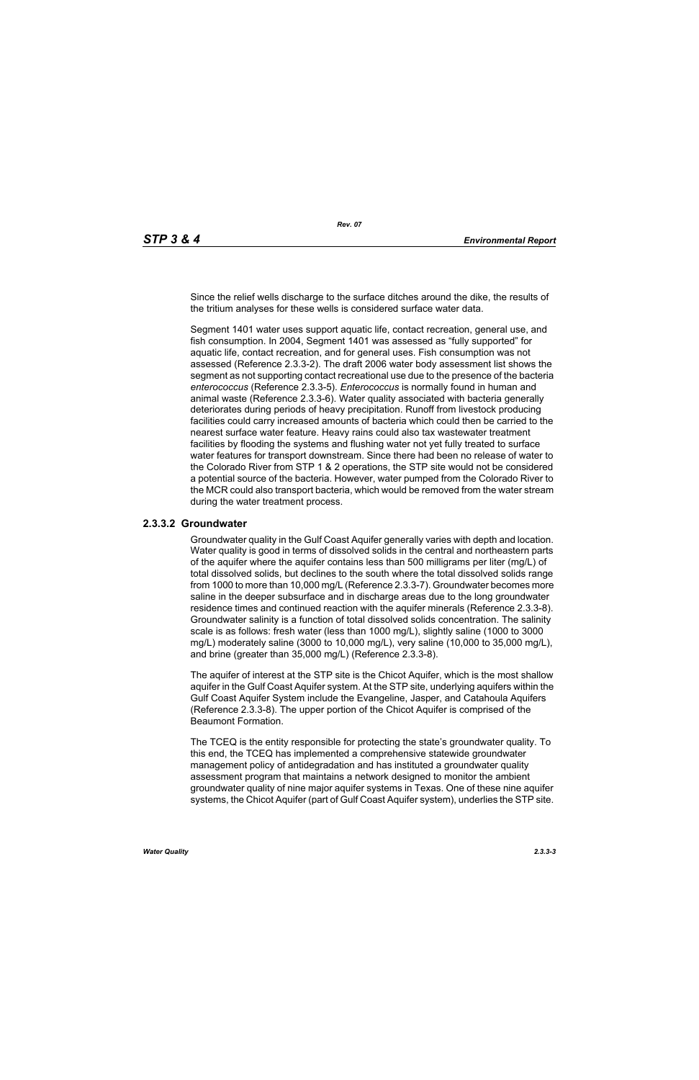Since the relief wells discharge to the surface ditches around the dike, the results of the tritium analyses for these wells is considered surface water data.

Segment 1401 water uses support aquatic life, contact recreation, general use, and fish consumption. In 2004, Segment 1401 was assessed as "fully supported" for aquatic life, contact recreation, and for general uses. Fish consumption was not assessed (Reference 2.3.3-2). The draft 2006 water body assessment list shows the segment as not supporting contact recreational use due to the presence of the bacteria *enterococcus* (Reference 2.3.3-5). *Enterococcus* is normally found in human and animal waste (Reference 2.3.3-6). Water quality associated with bacteria generally deteriorates during periods of heavy precipitation. Runoff from livestock producing facilities could carry increased amounts of bacteria which could then be carried to the nearest surface water feature. Heavy rains could also tax wastewater treatment facilities by flooding the systems and flushing water not yet fully treated to surface water features for transport downstream. Since there had been no release of water to the Colorado River from STP 1 & 2 operations, the STP site would not be considered a potential source of the bacteria. However, water pumped from the Colorado River to the MCR could also transport bacteria, which would be removed from the water stream during the water treatment process.

## **2.3.3.2 Groundwater**

Groundwater quality in the Gulf Coast Aquifer generally varies with depth and location. Water quality is good in terms of dissolved solids in the central and northeastern parts of the aquifer where the aquifer contains less than 500 milligrams per liter (mg/L) of total dissolved solids, but declines to the south where the total dissolved solids range from 1000 to more than 10,000 mg/L (Reference 2.3.3-7). Groundwater becomes more saline in the deeper subsurface and in discharge areas due to the long groundwater residence times and continued reaction with the aquifer minerals (Reference 2.3.3-8). Groundwater salinity is a function of total dissolved solids concentration. The salinity scale is as follows: fresh water (less than 1000 mg/L), slightly saline (1000 to 3000 mg/L) moderately saline (3000 to 10,000 mg/L), very saline (10,000 to 35,000 mg/L), and brine (greater than 35,000 mg/L) (Reference 2.3.3-8).

The aquifer of interest at the STP site is the Chicot Aquifer, which is the most shallow aquifer in the Gulf Coast Aquifer system. At the STP site, underlying aquifers within the Gulf Coast Aquifer System include the Evangeline, Jasper, and Catahoula Aquifers (Reference 2.3.3-8). The upper portion of the Chicot Aquifer is comprised of the Beaumont Formation.

The TCEQ is the entity responsible for protecting the state's groundwater quality. To this end, the TCEQ has implemented a comprehensive statewide groundwater management policy of antidegradation and has instituted a groundwater quality assessment program that maintains a network designed to monitor the ambient groundwater quality of nine major aquifer systems in Texas. One of these nine aquifer systems, the Chicot Aquifer (part of Gulf Coast Aquifer system), underlies the STP site.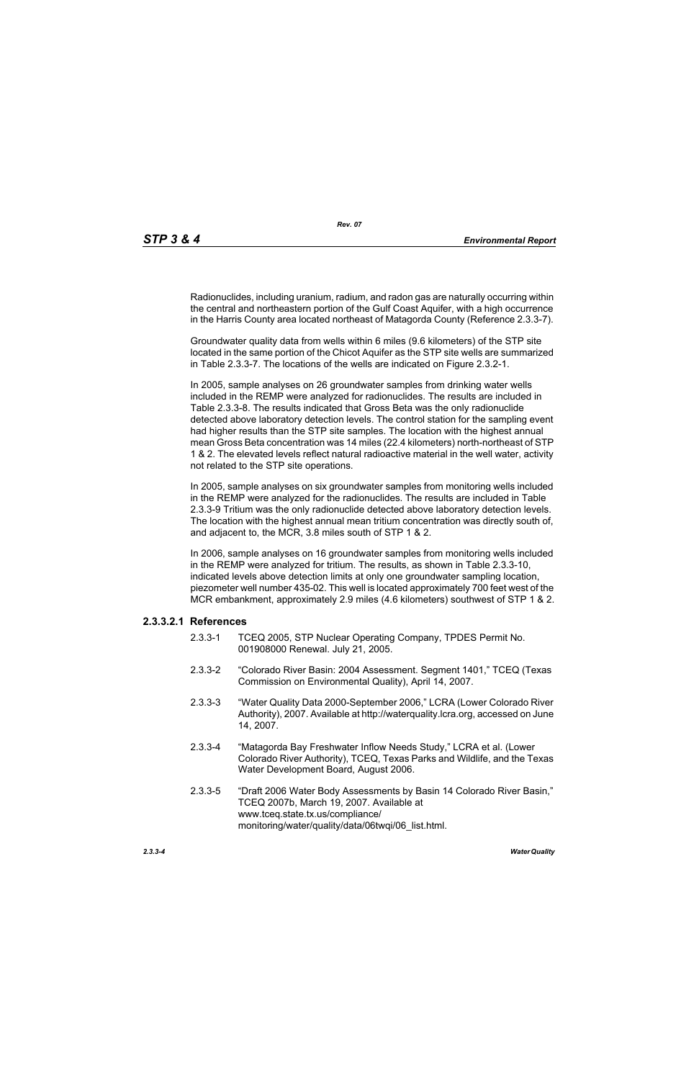Radionuclides, including uranium, radium, and radon gas are naturally occurring within the central and northeastern portion of the Gulf Coast Aquifer, with a high occurrence in the Harris County area located northeast of Matagorda County (Reference 2.3.3-7).

Groundwater quality data from wells within 6 miles (9.6 kilometers) of the STP site located in the same portion of the Chicot Aquifer as the STP site wells are summarized in Table 2.3.3-7. The locations of the wells are indicated on Figure 2.3.2-1.

In 2005, sample analyses on 26 groundwater samples from drinking water wells included in the REMP were analyzed for radionuclides. The results are included in Table 2.3.3-8. The results indicated that Gross Beta was the only radionuclide detected above laboratory detection levels. The control station for the sampling event had higher results than the STP site samples. The location with the highest annual mean Gross Beta concentration was 14 miles (22.4 kilometers) north-northeast of STP 1 & 2. The elevated levels reflect natural radioactive material in the well water, activity not related to the STP site operations.

In 2005, sample analyses on six groundwater samples from monitoring wells included in the REMP were analyzed for the radionuclides. The results are included in Table 2.3.3-9 Tritium was the only radionuclide detected above laboratory detection levels. The location with the highest annual mean tritium concentration was directly south of, and adjacent to, the MCR, 3.8 miles south of STP 1 & 2.

In 2006, sample analyses on 16 groundwater samples from monitoring wells included in the REMP were analyzed for tritium. The results, as shown in Table 2.3.3-10, indicated levels above detection limits at only one groundwater sampling location, piezometer well number 435-02. This well is located approximately 700 feet west of the MCR embankment, approximately 2.9 miles (4.6 kilometers) southwest of STP 1 & 2.

## **2.3.3.2.1 References**

- 2.3.3-1 TCEQ 2005, STP Nuclear Operating Company, TPDES Permit No. 001908000 Renewal. July 21, 2005.
- 2.3.3-2 "Colorado River Basin: 2004 Assessment. Segment 1401," TCEQ (Texas Commission on Environmental Quality), April 14, 2007.
- 2.3.3-3 "Water Quality Data 2000-September 2006," LCRA (Lower Colorado River Authority), 2007. Available at http://waterquality.lcra.org, accessed on June 14, 2007.
- 2.3.3-4 "Matagorda Bay Freshwater Inflow Needs Study," LCRA et al. (Lower Colorado River Authority), TCEQ, Texas Parks and Wildlife, and the Texas Water Development Board, August 2006.
- 2.3.3-5 "Draft 2006 Water Body Assessments by Basin 14 Colorado River Basin," TCEQ 2007b, March 19, 2007. Available at www.tceq.state.tx.us/compliance/ monitoring/water/quality/data/06twqi/06\_list.html.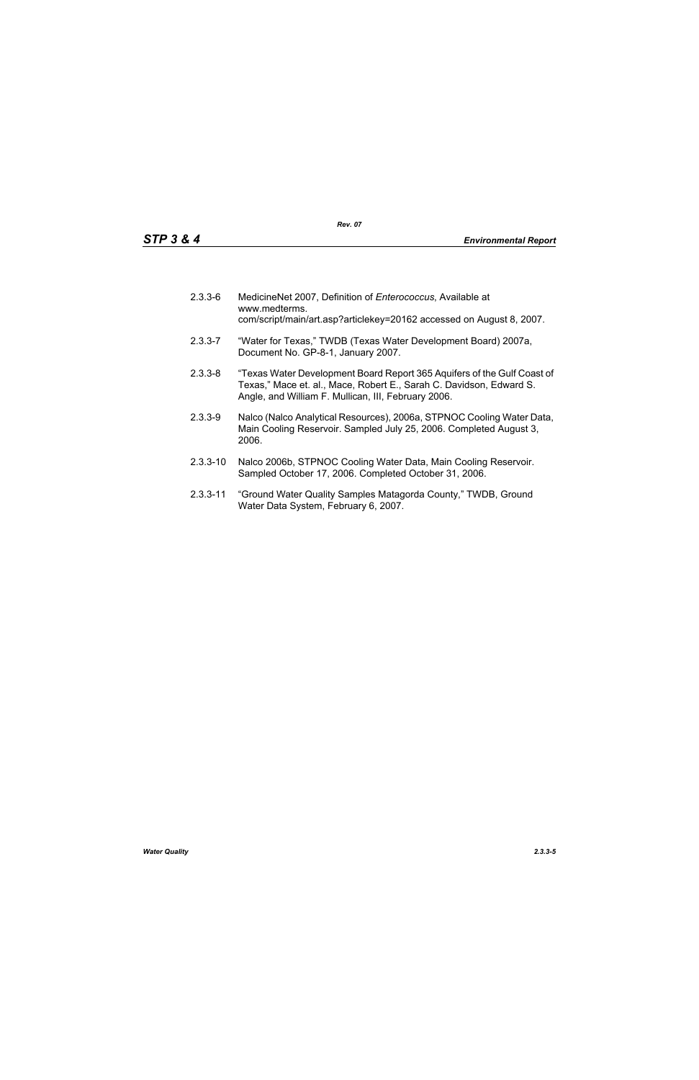| $2.3.3 - 6$ | MedicineNet 2007, Definition of Enterococcus, Available at<br>www.medterms.<br>com/script/main/art.asp?articlekey=20162 accessed on August 8, 2007.                                                   |
|-------------|-------------------------------------------------------------------------------------------------------------------------------------------------------------------------------------------------------|
| $2.3.3 - 7$ | "Water for Texas," TWDB (Texas Water Development Board) 2007a,<br>Document No. GP-8-1, January 2007.                                                                                                  |
| $2.3.3 - 8$ | "Texas Water Development Board Report 365 Aquifers of the Gulf Coast of<br>Texas," Mace et. al., Mace, Robert E., Sarah C. Davidson, Edward S.<br>Angle, and William F. Mullican, III, February 2006. |
| $2.3.3 - 9$ | Nalco (Nalco Analytical Resources), 2006a, STPNOC Cooling Water Data,<br>Main Cooling Reservoir. Sampled July 25, 2006. Completed August 3,                                                           |

- 2006. 2.3.3-10 Nalco 2006b, STPNOC Cooling Water Data, Main Cooling Reservoir.
- 2.3.3-11 "Ground Water Quality Samples Matagorda County," TWDB, Ground Water Data System, February 6, 2007.

Sampled October 17, 2006. Completed October 31, 2006.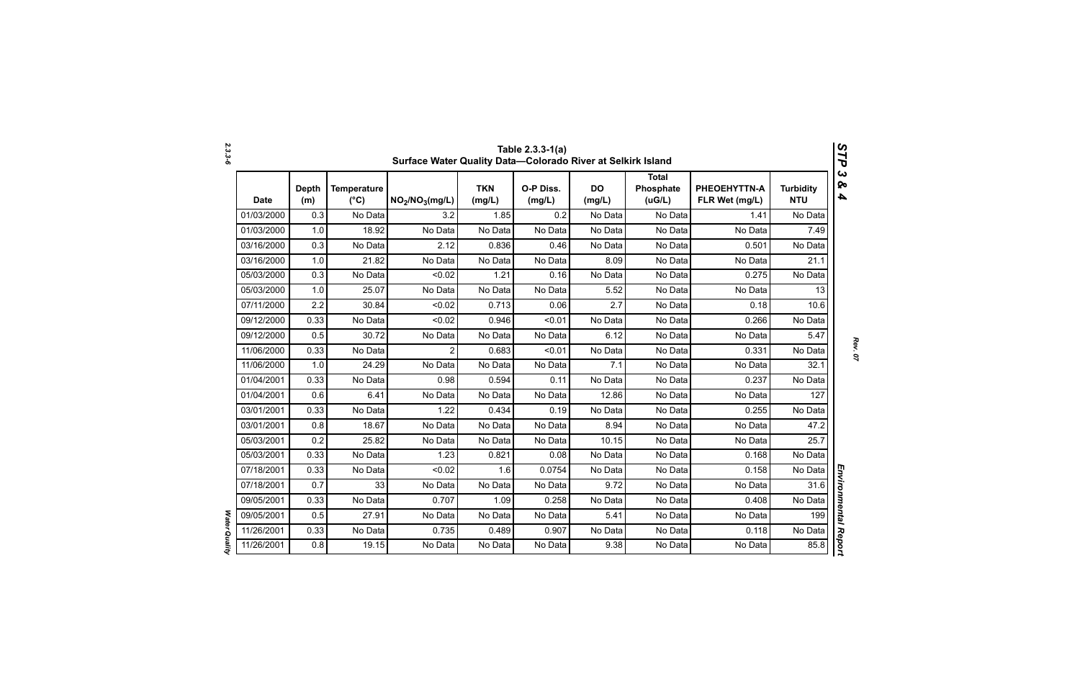|             | Table 2.3.3-1(a)<br>V,<br>Surface Water Quality Data-Colorado River at Selkirk Island<br>٦ |                                     |                                         |                      |                     |                     |                                     |                                |                                |  |  |
|-------------|--------------------------------------------------------------------------------------------|-------------------------------------|-----------------------------------------|----------------------|---------------------|---------------------|-------------------------------------|--------------------------------|--------------------------------|--|--|
| <b>Date</b> | <b>Depth</b><br>(m)                                                                        | <b>Temperature</b><br>$(^{\circ}C)$ | NO <sub>2</sub> /NO <sub>3</sub> (mg/L) | <b>TKN</b><br>(mg/L) | O-P Diss.<br>(mg/L) | <b>DO</b><br>(mg/L) | <b>Total</b><br>Phosphate<br>(UG/L) | PHEOEHYTTN-A<br>FLR Wet (mg/L) | <b>Turbidity</b><br><b>NTU</b> |  |  |
| 01/03/2000  | 0.3                                                                                        | No Data                             | 3.2                                     | 1.85                 | 0.2                 | No Data             | No Data                             | 1.41                           | No Data                        |  |  |
| 01/03/2000  | 1.0                                                                                        | 18.92                               | No Data                                 | No Data              | No Data             | No Data             | No Data                             | No Data                        | 7.49                           |  |  |
| 03/16/2000  | 0.3                                                                                        | No Data                             | 2.12                                    | 0.836                | 0.46                | No Data             | No Data                             | 0.501                          | No Data                        |  |  |
| 03/16/2000  | 1.0                                                                                        | 21.82                               | No Data                                 | No Data              | No Data             | 8.09                | No Data                             | No Data                        | 21.1                           |  |  |
| 05/03/2000  | 0.3                                                                                        | No Data                             | < 0.02                                  | 1.21                 | 0.16                | No Data             | No Data                             | 0.275                          | No Data                        |  |  |
| 05/03/2000  | 1.0                                                                                        | 25.07                               | No Data                                 | No Data              | No Data             | 5.52                | No Data                             | No Data                        | 13                             |  |  |
| 07/11/2000  | 2.2                                                                                        | 30.84                               | < 0.02                                  | 0.713                | 0.06                | 2.7                 | No Data                             | 0.18                           | 10.6                           |  |  |
| 09/12/2000  | 0.33                                                                                       | No Data                             | < 0.02                                  | 0.946                | < 0.01              | No Data             | No Data                             | 0.266                          | No Data                        |  |  |
| 09/12/2000  | 0.5                                                                                        | 30.72                               | No Data                                 | No Data              | No Data             | 6.12                | No Data                             | No Data                        | 5.47                           |  |  |
| 11/06/2000  | 0.33                                                                                       | No Data                             | $\overline{2}$                          | 0.683                | < 0.01              | No Data             | No Data                             | 0.331                          | No Data                        |  |  |
| 11/06/2000  | 1.0                                                                                        | 24.29                               | No Data                                 | No Data              | No Data             | 7.1                 | No Data                             | No Data                        | 32.1                           |  |  |
| 01/04/2001  | 0.33                                                                                       | No Data                             | 0.98                                    | 0.594                | 0.11                | No Data             | No Data                             | 0.237                          | No Data                        |  |  |
| 01/04/2001  | 0.6                                                                                        | 6.41                                | No Data                                 | No Data              | No Data             | 12.86               | No Data                             | No Data                        | 127                            |  |  |
| 03/01/2001  | 0.33                                                                                       | No Data                             | 1.22                                    | 0.434                | 0.19                | No Data             | No Data                             | 0.255                          | No Data                        |  |  |
| 03/01/2001  | 0.8                                                                                        | 18.67                               | No Data                                 | No Data              | No Data             | 8.94                | No Data                             | No Data                        | 47.2                           |  |  |
| 05/03/2001  | 0.2                                                                                        | 25.82                               | No Data                                 | No Data              | No Data             | 10.15               | No Data                             | No Data                        | 25.7                           |  |  |
| 05/03/2001  | 0.33                                                                                       | No Data                             | 1.23                                    | 0.821                | 0.08                | No Data             | No Data                             | 0.168                          | No Data                        |  |  |
| 07/18/2001  | 0.33                                                                                       | No Data                             | < 0.02                                  | 1.6                  | 0.0754              | No Data             | No Data                             | 0.158                          | No Data                        |  |  |
| 07/18/2001  | 0.7                                                                                        | 33                                  | No Data                                 | No Data              | No Data             | 9.72                | No Data                             | No Data                        | 31.6                           |  |  |
| 09/05/2001  | 0.33                                                                                       | No Data                             | 0.707                                   | 1.09                 | 0.258               | No Data             | No Data                             | 0.408                          | No Data                        |  |  |
| 09/05/2001  | 0.5                                                                                        | 27.91                               | No Data                                 | No Data              | No Data             | 5.41                | No Data                             | No Data                        | 199                            |  |  |
| 11/26/2001  | 0.33                                                                                       | No Data                             | 0.735                                   | 0.489                | 0.907               | No Data             | No Data                             | 0.118                          | No Data                        |  |  |
| 11/26/2001  | 0.8                                                                                        | 19.15                               | No Data                                 | No Data              | No Data             | 9.38                | No Data                             | No Data                        | 85.8                           |  |  |

*2.3.3-6*

*Rev. 07*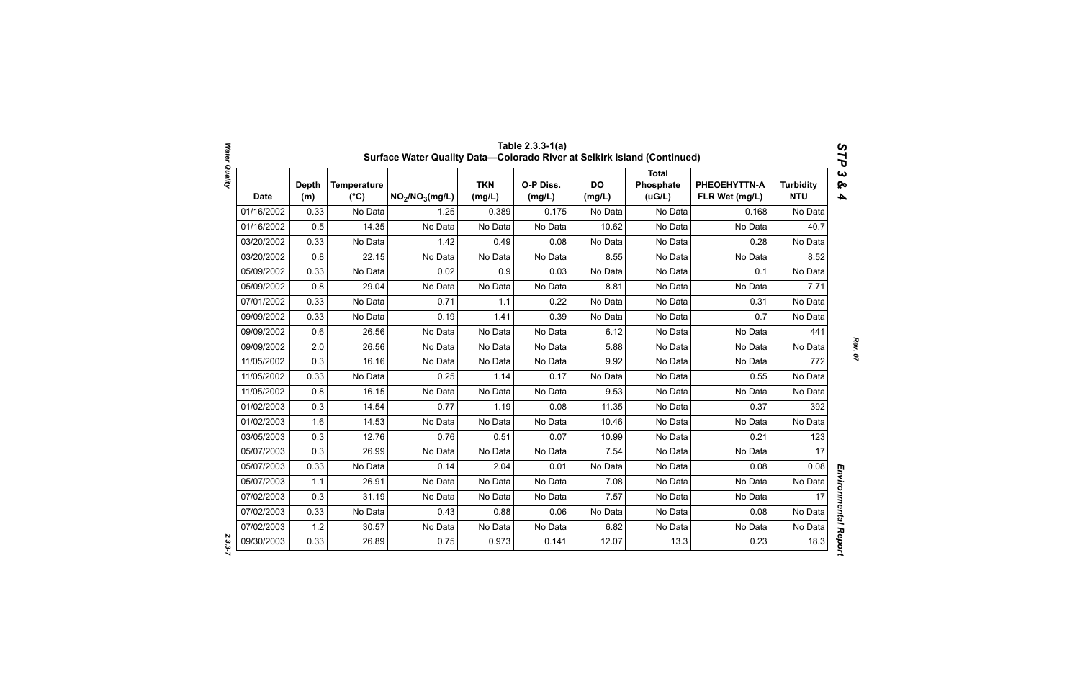|            |                     |                                     | Surface Water Quality Data-Colorado River at Selkirk Island (Continued) |                      | Table 2.3.3-1(a)    |                     |                                      |                                |                                | STP                                              |
|------------|---------------------|-------------------------------------|-------------------------------------------------------------------------|----------------------|---------------------|---------------------|--------------------------------------|--------------------------------|--------------------------------|--------------------------------------------------|
| Date       | <b>Depth</b><br>(m) | <b>Temperature</b><br>$(^{\circ}C)$ | NO <sub>2</sub> /NO <sub>3</sub> (mg/L)                                 | <b>TKN</b><br>(mg/L) | O-P Diss.<br>(mg/L) | <b>DO</b><br>(mg/L) | <b>Total</b><br>Phosphate<br>( uG/L) | PHEOEHYTTN-A<br>FLR Wet (mg/L) | <b>Turbidity</b><br><b>NTU</b> | $\boldsymbol{\omega}$<br>ନ୍ତ<br>$\blacktriangle$ |
| 01/16/2002 | 0.33                | No Data                             | 1.25                                                                    | 0.389                | 0.175               | No Data             | No Data                              | 0.168                          | No Data                        |                                                  |
| 01/16/2002 | 0.5                 | 14.35                               | No Data                                                                 | No Data              | No Data             | 10.62               | No Data                              | No Data                        | 40.7                           |                                                  |
| 03/20/2002 | 0.33                | No Data                             | 1.42                                                                    | 0.49                 | 0.08                | No Data             | No Data                              | 0.28                           | No Data                        |                                                  |
| 03/20/2002 | 0.8                 | 22.15                               | No Data                                                                 | No Data              | No Data             | 8.55                | No Data                              | No Data                        | 8.52                           |                                                  |
| 05/09/2002 | 0.33                | No Data                             | 0.02                                                                    | 0.9                  | 0.03                | No Data             | No Data                              | 0.1                            | No Data                        |                                                  |
| 05/09/2002 | 0.8                 | 29.04                               | No Data                                                                 | No Data              | No Data             | 8.81                | No Data                              | No Data                        | 7.71                           |                                                  |
| 07/01/2002 | 0.33                | No Data                             | 0.71                                                                    | 1.1                  | 0.22                | No Data             | No Data                              | 0.31                           | No Data                        |                                                  |
| 09/09/2002 | 0.33                | No Data                             | 0.19                                                                    | 1.41                 | 0.39                | No Data             | No Data                              | 0.7                            | No Data                        |                                                  |
| 09/09/2002 | 0.6                 | 26.56                               | No Data                                                                 | No Data              | No Data             | 6.12                | No Data                              | No Data                        | 441                            |                                                  |
| 09/09/2002 | 2.0                 | 26.56                               | No Data                                                                 | No Data              | No Data             | 5.88                | No Data                              | No Data                        | No Data                        |                                                  |
| 11/05/2002 | 0.3                 | 16.16                               | No Data                                                                 | No Data              | No Data             | 9.92                | No Data                              | No Data                        | 772                            |                                                  |
| 11/05/2002 | 0.33                | No Data                             | 0.25                                                                    | 1.14                 | 0.17                | No Data             | No Data                              | 0.55                           | No Data                        |                                                  |
| 11/05/2002 | 0.8                 | 16.15                               | No Data                                                                 | No Data              | No Data             | 9.53                | No Data                              | No Data                        | No Data                        |                                                  |
| 01/02/2003 | 0.3                 | 14.54                               | 0.77                                                                    | 1.19                 | 0.08                | 11.35               | No Data                              | 0.37                           | 392                            |                                                  |
| 01/02/2003 | 1.6                 | 14.53                               | No Data                                                                 | No Data              | No Data             | 10.46               | No Data                              | No Data                        | No Data                        |                                                  |
| 03/05/2003 | 0.3                 | 12.76                               | 0.76                                                                    | 0.51                 | 0.07                | 10.99               | No Data                              | 0.21                           | 123                            |                                                  |
| 05/07/2003 | 0.3                 | 26.99                               | No Data                                                                 | No Data              | No Data             | 7.54                | No Data                              | No Data                        | 17                             |                                                  |
| 05/07/2003 | 0.33                | No Data                             | 0.14                                                                    | 2.04                 | 0.01                | No Data             | No Data                              | 0.08                           | 0.08                           |                                                  |
| 05/07/2003 | 1.1                 | 26.91                               | No Data                                                                 | No Data              | No Data             | 7.08                | No Data                              | No Data                        | No Data                        |                                                  |
| 07/02/2003 | 0.3                 | 31.19                               | No Data                                                                 | No Data              | No Data             | 7.57                | No Data                              | No Data                        | 17                             |                                                  |
| 07/02/2003 | 0.33                | No Data                             | 0.43                                                                    | 0.88                 | 0.06                | No Data             | No Data                              | 0.08                           | No Data                        |                                                  |
| 07/02/2003 | 1.2                 | 30.57                               | No Data                                                                 | No Data              | No Data             | 6.82                | No Data                              | No Data                        | No Data                        |                                                  |
| 09/30/2003 | 0.33                | 26.89                               | 0.75                                                                    | 0.973                | 0.141               | 12.07               | 13.3                                 | 0.23                           | 18.3                           | Environmental Report                             |

*Water Quality 2.3.3-7*  $2.3.3 - 7$ 

Water Quality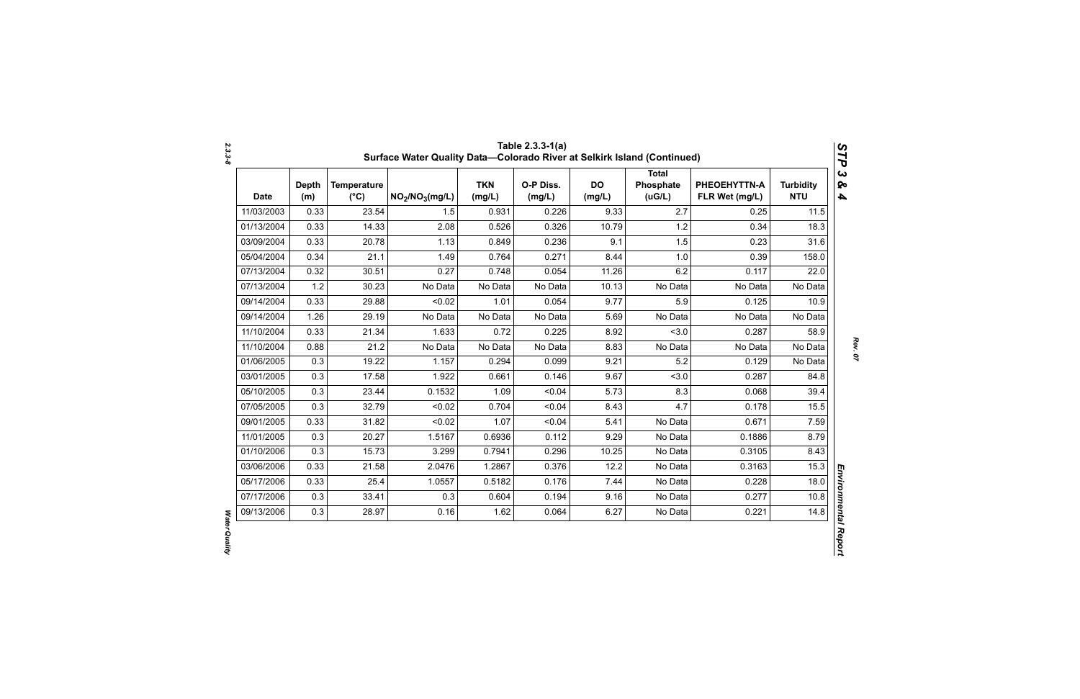| <b>Date</b> | <b>Depth</b><br>(m) | <b>Temperature</b><br>$(^{\circ}C)$ | $NO_2/NO_3(mg/L)$ | <b>TKN</b><br>(mg/L) | O-P Diss.<br>(mg/L) | <b>DO</b><br>(mg/L) | <b>Total</b><br>Phosphate<br>(UG/L) | PHEOEHYTTN-A<br>FLR Wet (mg/L) | <b>Turbidity</b><br><b>NTU</b> |
|-------------|---------------------|-------------------------------------|-------------------|----------------------|---------------------|---------------------|-------------------------------------|--------------------------------|--------------------------------|
| 11/03/2003  | 0.33                | 23.54                               | 1.5               | 0.931                | 0.226               | 9.33                | 2.7                                 | 0.25                           | 11.5                           |
| 01/13/2004  | 0.33                | 14.33                               | 2.08              | 0.526                | 0.326               | 10.79               | 1.2                                 | 0.34                           | 18.3                           |
| 03/09/2004  | 0.33                | 20.78                               | 1.13              | 0.849                | 0.236               | 9.1                 | 1.5                                 | 0.23                           | 31.6                           |
| 05/04/2004  | 0.34                | 21.1                                | 1.49              | 0.764                | 0.271               | 8.44                | 1.0                                 | 0.39                           | 158.0                          |
| 07/13/2004  | 0.32                | 30.51                               | 0.27              | 0.748                | 0.054               | 11.26               | 6.2                                 | 0.117                          | 22.0                           |
| 07/13/2004  | 1.2                 | 30.23                               | No Data           | No Data              | No Data             | 10.13               | No Data                             | No Data                        | No Data                        |
| 09/14/2004  | 0.33                | 29.88                               | < 0.02            | 1.01                 | 0.054               | 9.77                | 5.9                                 | 0.125                          | 10.9                           |
| 09/14/2004  | 1.26                | 29.19                               | No Data           | No Data              | No Data             | 5.69                | No Data                             | No Data                        | No Data                        |
| 11/10/2004  | 0.33                | 21.34                               | 1.633             | 0.72                 | 0.225               | 8.92                | 3.0                                 | 0.287                          | 58.9                           |
| 11/10/2004  | 0.88                | 21.2                                | No Data           | No Data              | No Data             | 8.83                | No Data                             | No Data                        | No Data                        |
| 01/06/2005  | 0.3                 | 19.22                               | 1.157             | 0.294                | 0.099               | 9.21                | 5.2                                 | 0.129                          | No Data                        |
| 03/01/2005  | 0.3                 | 17.58                               | 1.922             | 0.661                | 0.146               | 9.67                | 3.0                                 | 0.287                          | 84.8                           |
| 05/10/2005  | 0.3                 | 23.44                               | 0.1532            | 1.09                 | < 0.04              | 5.73                | 8.3                                 | 0.068                          | 39.4                           |
| 07/05/2005  | 0.3                 | 32.79                               | < 0.02            | 0.704                | < 0.04              | 8.43                | 4.7                                 | 0.178                          | 15.5                           |
| 09/01/2005  | 0.33                | 31.82                               | < 0.02            | 1.07                 | < 0.04              | 5.41                | No Data                             | 0.671                          | 7.59                           |
| 11/01/2005  | 0.3                 | 20.27                               | 1.5167            | 0.6936               | 0.112               | 9.29                | No Data                             | 0.1886                         | 8.79                           |
| 01/10/2006  | 0.3                 | 15.73                               | 3.299             | 0.7941               | 0.296               | 10.25               | No Data                             | 0.3105                         | 8.43                           |
| 03/06/2006  | 0.33                | 21.58                               | 2.0476            | 1.2867               | 0.376               | 12.2                | No Data                             | 0.3163                         | 15.3                           |
| 05/17/2006  | 0.33                | 25.4                                | 1.0557            | 0.5182               | 0.176               | 7.44                | No Data                             | 0.228                          | 18.0                           |
| 07/17/2006  | 0.3                 | 33.41                               | 0.3               | 0.604                | 0.194               | 9.16                | No Data                             | 0.277                          | 10.8                           |
| 09/13/2006  | 0.3                 | 28.97                               | 0.16              | 1.62                 | 0.064               | 6.27                | No Data                             | 0.221                          | 14.8                           |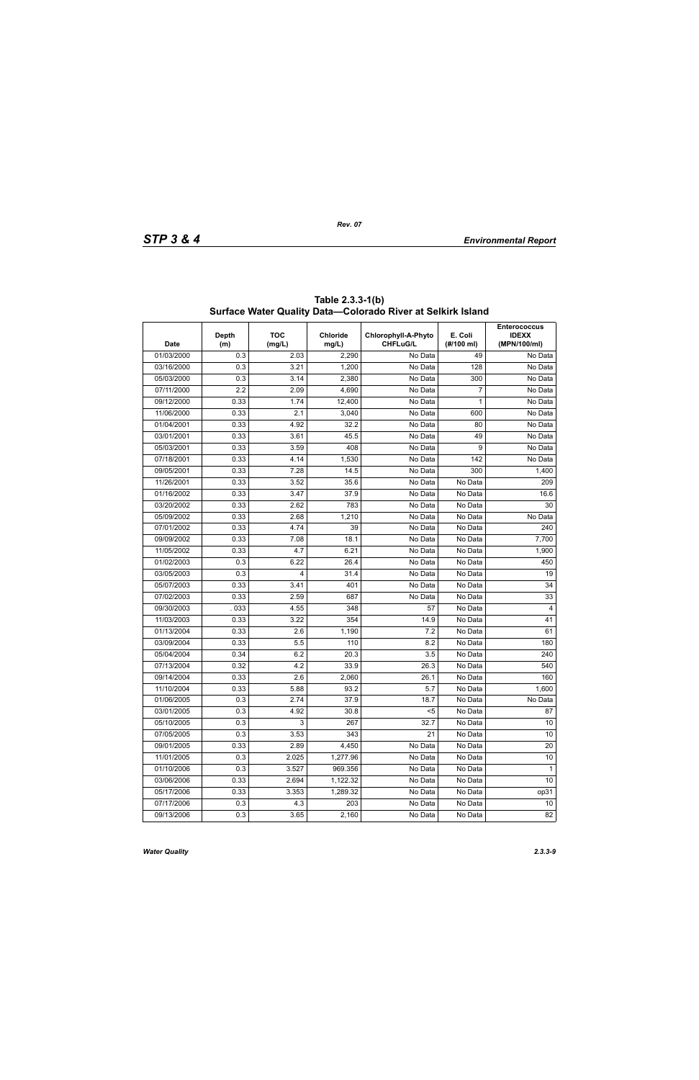| <b>Date</b> | <b>Depth</b><br>(m) | <b>TOC</b><br>(mg/L) | <b>Chloride</b><br>mg/L) | Chlorophyll-A-Phyto<br><b>CHFLuG/L</b> | E. Coli<br>(H/100 ml) | <b>Enterococcus</b><br><b>IDEXX</b><br>(MPN/100/ml) |
|-------------|---------------------|----------------------|--------------------------|----------------------------------------|-----------------------|-----------------------------------------------------|
| 01/03/2000  | 0.3                 | 2.03                 | 2,290                    | No Data                                | 49                    | No Data                                             |
| 03/16/2000  | 0.3                 | 3.21                 | 1,200                    | No Data                                | 128                   | No Data                                             |
| 05/03/2000  | 0.3                 | 3.14                 | 2,380                    | No Data                                | 300                   | No Data                                             |
| 07/11/2000  | 2.2                 | 2.09                 | 4,690                    | No Data                                | 7                     | No Data                                             |
| 09/12/2000  | 0.33                | 1.74                 | 12,400                   | No Data                                | 1                     | No Data                                             |
| 11/06/2000  | 0.33                | 2.1                  | 3,040                    | No Data                                | 600                   | No Data                                             |
| 01/04/2001  | 0.33                | 4.92                 | 32.2                     | No Data                                | 80                    | No Data                                             |
| 03/01/2001  | 0.33                | 3.61                 | 45.5                     | No Data                                | 49                    | No Data                                             |
| 05/03/2001  | 0.33                | 3.59                 | 408                      | No Data                                | 9                     | No Data                                             |
| 07/18/2001  | 0.33                | 4.14                 | 1,530                    | No Data                                | 142                   | No Data                                             |
| 09/05/2001  | 0.33                | 7.28                 | 14.5                     | No Data                                | 300                   | 1,400                                               |
| 11/26/2001  | 0.33                | 3.52                 | 35.6                     | No Data                                | No Data               | 209                                                 |
| 01/16/2002  | 0.33                | 3.47                 | 37.9                     | No Data                                | No Data               | 16.6                                                |
| 03/20/2002  | 0.33                | 2.62                 | 783                      | No Data                                | No Data               | 30                                                  |
| 05/09/2002  | 0.33                | 2.68                 | 1,210                    | No Data                                | No Data               | No Data                                             |
| 07/01/2002  | 0.33                | 4.74                 | 39                       | No Data                                | No Data               | 240                                                 |
| 09/09/2002  | 0.33                | 7.08                 | 18.1                     | No Data                                | No Data               | 7,700                                               |
| 11/05/2002  | 0.33                | 4.7                  | 6.21                     | No Data                                | No Data               | 1,900                                               |
| 01/02/2003  | 0.3                 | 6.22                 | 26.4                     | No Data                                | No Data               | 450                                                 |
| 03/05/2003  | 0.3                 | 4                    | 31.4                     | No Data                                | No Data               | 19                                                  |
| 05/07/2003  | 0.33                | 3.41                 | 401                      | No Data                                | No Data               | 34                                                  |
| 07/02/2003  | 0.33                | 2.59                 | 687                      | No Data                                | No Data               | 33                                                  |
| 09/30/2003  | 033                 | 4.55                 | 348                      | 57                                     | No Data               | 4                                                   |
| 11/03/2003  | 0.33                | 3.22                 | 354                      | 14.9                                   | No Data               | 41                                                  |
| 01/13/2004  | 0.33                | 2.6                  | 1,190                    | 7.2                                    | No Data               | 61                                                  |
| 03/09/2004  | 0.33                | 5.5                  | 110                      | 8.2                                    | No Data               | 180                                                 |
| 05/04/2004  | 0.34                | 6.2                  | 20.3                     | 3.5                                    | No Data               | 240                                                 |
| 07/13/2004  | 0.32                | 4.2                  | 33.9                     | 26.3                                   | No Data               | 540                                                 |
| 09/14/2004  | 0.33                | 2.6                  | 2,060                    | 26.1                                   | No Data               | 160                                                 |
| 11/10/2004  | 0.33                | 5.88                 | 93.2                     | 5.7                                    | No Data               | 1,600                                               |
| 01/06/2005  | 0.3                 | 2.74                 | 37.9                     | 18.7                                   | No Data               | No Data                                             |
| 03/01/2005  | 0.3                 | 4.92                 | 30.8                     | $\overline{\leq}$                      | No Data               | 87                                                  |
| 05/10/2005  | 0.3                 | 3                    | 267                      | 32.7                                   | No Data               | 10 <sup>°</sup>                                     |
| 07/05/2005  | 0.3                 | 3.53                 | 343                      | 21                                     | No Data               | 10                                                  |
| 09/01/2005  | 0.33                | 2.89                 | 4,450                    | No Data                                | No Data               | 20                                                  |
| 11/01/2005  | 0.3                 | 2.025                | 1,277.96                 | No Data                                | No Data               | 10                                                  |
| 01/10/2006  | 0.3                 | 3.527                | 969.356                  | No Data                                | No Data               | $\mathbf{1}$                                        |
| 03/06/2006  | 0.33                | 2.694                | 1,122.32                 | No Data                                | No Data               | 10                                                  |
| 05/17/2006  | 0.33                | 3.353                | 1,289.32                 | No Data                                | No Data               | op31                                                |
| 07/17/2006  | 0.3                 | 4.3                  | 203                      | No Data                                | No Data               | 10                                                  |
| 09/13/2006  | 0.3                 | 3.65                 | 2,160                    | No Data                                | No Data               | 82                                                  |

**Table 2.3.3-1(b) Surface Water Quality Data—Colorado River at Selkirk Island**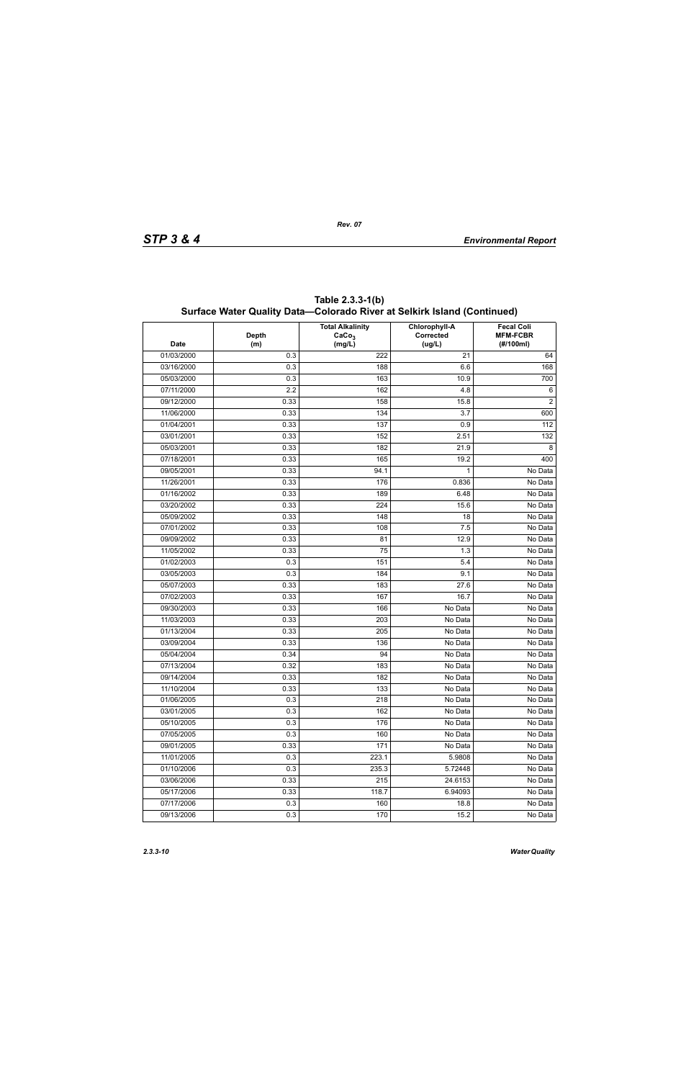| <b>Date</b> | <b>Depth</b><br>(m) | <b>Total Alkalinity</b><br>CaCo <sub>3</sub><br>(mg/L) | <b>Chlorophyll-A</b><br>Corrected<br>(ug/L) | <b>Fecal Coli</b><br><b>MFM-FCBR</b><br>(#/100ml) |
|-------------|---------------------|--------------------------------------------------------|---------------------------------------------|---------------------------------------------------|
| 01/03/2000  | 0.3                 | 222                                                    | 21                                          | 64                                                |
| 03/16/2000  | 0.3                 | 188                                                    | 6.6                                         | 168                                               |
| 05/03/2000  | 0.3                 | 163                                                    | 10.9                                        | 700                                               |
| 07/11/2000  | 2.2                 | 162                                                    | 4.8                                         | 6                                                 |
| 09/12/2000  | 0.33                | 158                                                    | 15.8                                        | 2                                                 |
| 11/06/2000  | 0.33                | 134                                                    | 3.7                                         | 600                                               |
| 01/04/2001  | 0.33                | 137                                                    | 0.9                                         | 112                                               |
| 03/01/2001  | 0.33                | 152                                                    | 2.51                                        | 132                                               |
| 05/03/2001  | 0.33                | 182                                                    | 21.9                                        | 8                                                 |
| 07/18/2001  | 0.33                | 165                                                    | 19.2                                        | 400                                               |
| 09/05/2001  | 0.33                | 94.1                                                   | 1                                           | No Data                                           |
| 11/26/2001  | 0.33                | 176                                                    | 0.836                                       | No Data                                           |
| 01/16/2002  | 0.33                | 189                                                    | 6.48                                        | No Data                                           |
| 03/20/2002  | 0.33                | 224                                                    | 15.6                                        | No Data                                           |
| 05/09/2002  | 0.33                | 148                                                    | 18                                          | No Data                                           |
| 07/01/2002  | 0.33                | 108                                                    | 7.5                                         | No Data                                           |
| 09/09/2002  | 0.33                | 81                                                     | 12.9                                        | No Data                                           |
| 11/05/2002  | 0.33                | 75                                                     | 1.3                                         | No Data                                           |
| 01/02/2003  | 0.3                 | 151                                                    | 5.4                                         | No Data                                           |
| 03/05/2003  | 0.3                 | 184                                                    | 9.1                                         | No Data                                           |
| 05/07/2003  | 0.33                | 183                                                    | 27.6                                        | No Data                                           |
| 07/02/2003  | 0.33                | 167                                                    | 16.7                                        | No Data                                           |
| 09/30/2003  | 0.33                | 166                                                    | No Data                                     | No Data                                           |
| 11/03/2003  | 0.33                | 203                                                    | No Data                                     | No Data                                           |
| 01/13/2004  | 0.33                | 205                                                    | No Data                                     | No Data                                           |
| 03/09/2004  | 0.33                | 136                                                    | No Data                                     | $\overline{No}$ Data                              |
| 05/04/2004  | 0.34                | 94                                                     | No Data                                     | No Data                                           |
| 07/13/2004  | 0.32                | 183                                                    | No Data                                     | No Data                                           |
| 09/14/2004  | 0.33                | 182                                                    | No Data                                     | No Data                                           |
| 11/10/2004  | 0.33                | 133                                                    | No Data                                     | No Data                                           |
| 01/06/2005  | 0.3                 | 218                                                    | No Data                                     | No Data                                           |
| 03/01/2005  | 0.3                 | 162                                                    | No Data                                     | No Data                                           |
| 05/10/2005  | 0.3                 | 176                                                    | No Data                                     | No Data                                           |
| 07/05/2005  | 0.3                 | 160                                                    | No Data                                     | No Data                                           |
| 09/01/2005  | 0.33                | 171                                                    | No Data                                     | No Data                                           |
| 11/01/2005  | 0.3                 | 223.1                                                  | 5.9808                                      | No Data                                           |
| 01/10/2006  | 0.3                 | 235.3                                                  | 5.72448                                     | No Data                                           |
| 03/06/2006  | 0.33                | 215                                                    | 24.6153                                     | No Data                                           |
| 05/17/2006  | 0.33                | 118.7                                                  | 6.94093                                     | No Data                                           |
| 07/17/2006  | 0.3                 | 160                                                    | 18.8                                        | No Data                                           |
| 09/13/2006  | 0.3                 | 170                                                    | 15.2                                        | No Data                                           |

**Table 2.3.3-1(b) Surface Water Quality Data—Colorado River at Selkirk Island (Continued)**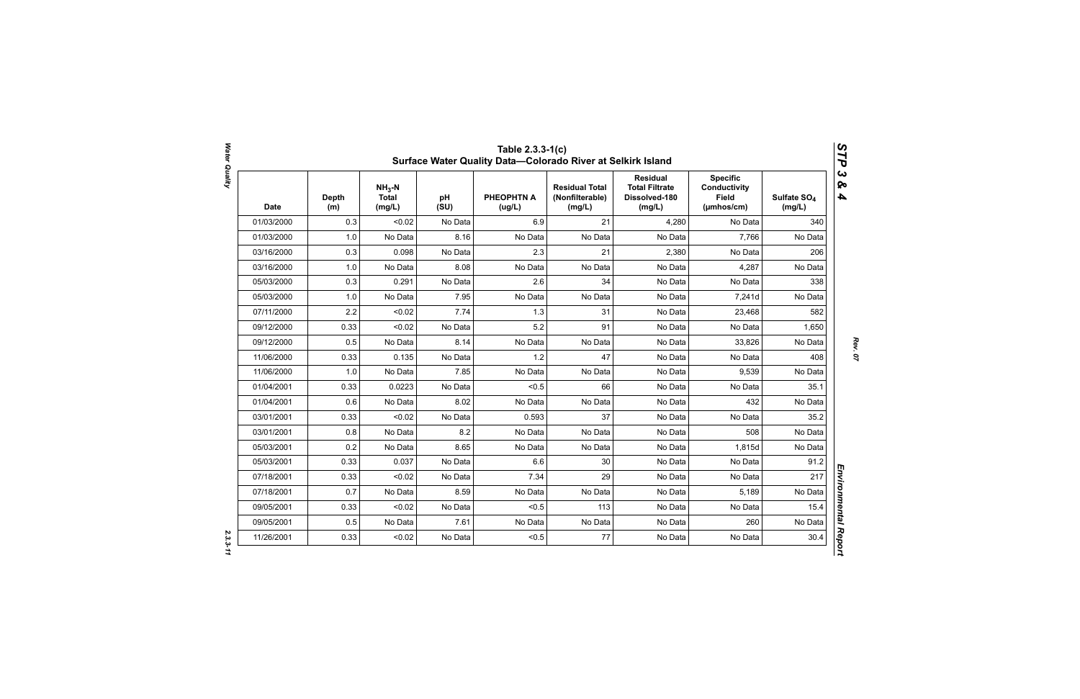| <b>Date</b> | <b>Depth</b><br>(m) | $NH3-N$<br><b>Total</b><br>(mg/L) | pH<br>(SU) | <b>PHEOPHTN A</b><br>(ug/L) | <b>Residual Total</b><br>(Nonfilterable)<br>(mg/L) | <b>Residual</b><br><b>Total Filtrate</b><br>Dissolved-180<br>(mg/L) | <b>Specific</b><br><b>Conductivity</b><br><b>Field</b><br>(µmhos/cm) | Sulfate SO <sub>4</sub><br>(mg/L) |
|-------------|---------------------|-----------------------------------|------------|-----------------------------|----------------------------------------------------|---------------------------------------------------------------------|----------------------------------------------------------------------|-----------------------------------|
| 01/03/2000  | 0.3                 | < 0.02                            | No Data    | 6.9                         | 21                                                 | 4,280                                                               | No Data                                                              | 340                               |
| 01/03/2000  | 1.0                 | No Data                           | 8.16       | No Data                     | No Data                                            | No Data                                                             | 7,766                                                                | No Data                           |
| 03/16/2000  | 0.3                 | 0.098                             | No Data    | 2.3                         | 21                                                 | 2,380                                                               | No Data                                                              | 206                               |
| 03/16/2000  | 1.0                 | No Data                           | 8.08       | No Data                     | No Data                                            | No Data                                                             | 4,287                                                                | No Data                           |
| 05/03/2000  | 0.3                 | 0.291                             | No Data    | 2.6                         | 34                                                 | No Data                                                             | No Data                                                              | 338                               |
| 05/03/2000  | 1.0                 | No Data                           | 7.95       | No Data                     | No Data                                            | No Data                                                             | 7,241d                                                               | No Data                           |
| 07/11/2000  | 2.2                 | < 0.02                            | 7.74       | 1.3                         | 31                                                 | No Data                                                             | 23,468                                                               | 582                               |
| 09/12/2000  | 0.33                | < 0.02                            | No Data    | 5.2                         | 91                                                 | No Data                                                             | No Data                                                              | 1,650                             |
| 09/12/2000  | 0.5                 | No Data                           | 8.14       | No Data                     | No Data                                            | No Data                                                             | 33,826                                                               | No Data                           |
| 11/06/2000  | 0.33                | 0.135                             | No Data    | 1.2                         | 47                                                 | No Data                                                             | No Data                                                              | 408                               |
| 11/06/2000  | 1.0                 | No Data                           | 7.85       | No Data                     | No Data                                            | No Data                                                             | 9,539                                                                | No Data                           |
| 01/04/2001  | 0.33                | 0.0223                            | No Data    | < 0.5                       | 66                                                 | No Data                                                             | No Data                                                              | 35.1                              |
| 01/04/2001  | 0.6                 | No Data                           | 8.02       | No Data                     | No Data                                            | No Data                                                             | 432                                                                  | No Data                           |
| 03/01/2001  | 0.33                | < 0.02                            | No Data    | 0.593                       | 37                                                 | No Data                                                             | No Data                                                              | 35.2                              |
| 03/01/2001  | 0.8                 | No Data                           | 8.2        | No Data                     | No Data                                            | No Data                                                             | 508                                                                  | No Data                           |
| 05/03/2001  | 0.2                 | No Data                           | 8.65       | No Data                     | No Data                                            | No Data                                                             | 1,815d                                                               | No Data                           |
| 05/03/2001  | 0.33                | 0.037                             | No Data    | 6.6                         | 30                                                 | No Data                                                             | No Data                                                              | 91.2                              |
| 07/18/2001  | 0.33                | < 0.02                            | No Data    | 7.34                        | 29                                                 | No Data                                                             | No Data                                                              | 217                               |
| 07/18/2001  | 0.7                 | No Data                           | 8.59       | No Data                     | No Data                                            | No Data                                                             | 5,189                                                                | No Data                           |
| 09/05/2001  | 0.33                | < 0.02                            | No Data    | < 0.5                       | 113                                                | No Data                                                             | No Data                                                              | 15.4                              |
| 09/05/2001  | 0.5                 | No Data                           | 7.61       | No Data                     | No Data                                            | No Data                                                             | 260                                                                  | No Data                           |
| 11/26/2001  | 0.33                | < 0.02                            | No Data    | < 0.5                       | 77                                                 | No Data                                                             | No Data                                                              | 30.4                              |

Water Quality *Water Quality 2.3.3-11*

*Rev. 07*

*STP 3 & 4*

 $2.3.3 - 11$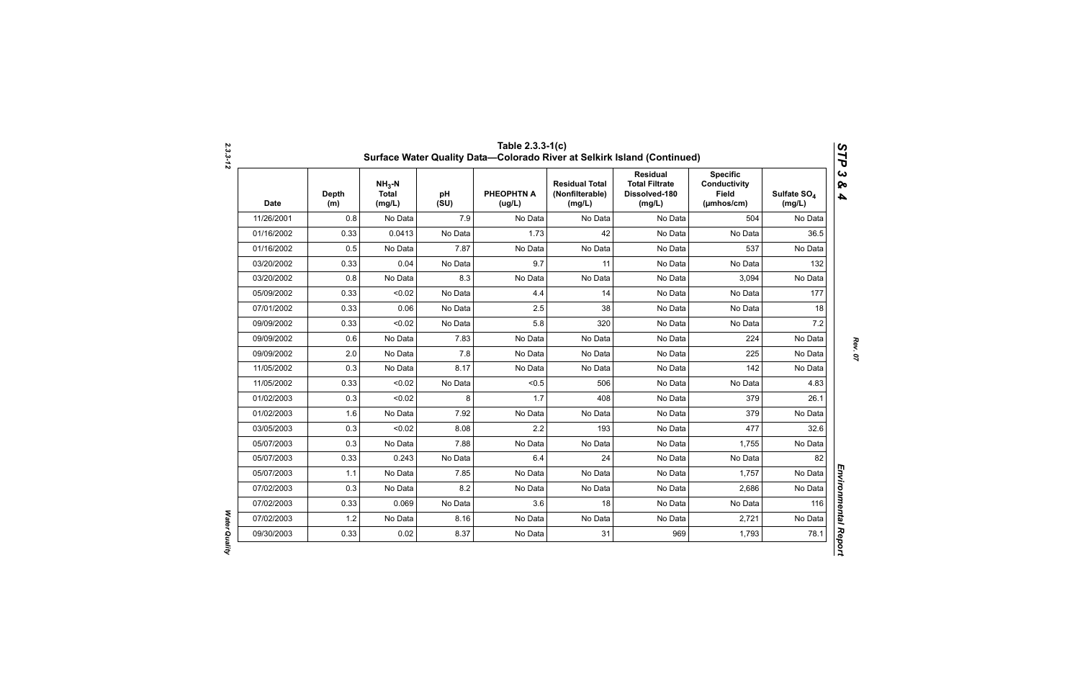| <b>Date</b> | <b>Depth</b><br>(m) | $NH3-N$<br><b>Total</b><br>(mg/L) | pH<br>(SU) | <b>PHEOPHTN A</b><br>(ug/L) | <b>Residual Total</b><br>(Nonfilterable)<br>(mg/L) | <b>Residual</b><br><b>Total Filtrate</b><br>Dissolved-180<br>(mg/L) | <b>Specific</b><br><b>Conductivity</b><br><b>Field</b><br>$(\mu m \text{hos/cm})$ | Sulfate SO <sub>4</sub><br>(mg/L) |
|-------------|---------------------|-----------------------------------|------------|-----------------------------|----------------------------------------------------|---------------------------------------------------------------------|-----------------------------------------------------------------------------------|-----------------------------------|
| 11/26/2001  | 0.8                 | No Data                           | 7.9        | No Data                     | No Data                                            | No Data                                                             | 504                                                                               | No Data                           |
| 01/16/2002  | 0.33                | 0.0413                            | No Data    | 1.73                        | 42                                                 | No Data                                                             | No Data                                                                           | 36.5                              |
| 01/16/2002  | 0.5                 | No Data                           | 7.87       | No Data                     | No Data                                            | No Data                                                             | 537                                                                               | No Data                           |
| 03/20/2002  | 0.33                | 0.04                              | No Data    | 9.7                         | 11                                                 | No Data                                                             | No Data                                                                           | 132                               |
| 03/20/2002  | 0.8                 | No Data                           | 8.3        | No Data                     | No Data                                            | No Data                                                             | 3,094                                                                             | No Data                           |
| 05/09/2002  | 0.33                | < 0.02                            | No Data    | 4.4                         | 14                                                 | No Data                                                             | No Data                                                                           | 177                               |
| 07/01/2002  | 0.33                | 0.06                              | No Data    | 2.5                         | 38                                                 | No Data                                                             | No Data                                                                           | 18                                |
| 09/09/2002  | 0.33                | < 0.02                            | No Data    | 5.8                         | 320                                                | No Data                                                             | No Data                                                                           | 7.2                               |
| 09/09/2002  | 0.6                 | No Data                           | 7.83       | No Data                     | No Data                                            | No Data                                                             | 224                                                                               | No Data                           |
| 09/09/2002  | 2.0                 | No Data                           | 7.8        | No Data                     | No Data                                            | No Data                                                             | 225                                                                               | No Data                           |
| 11/05/2002  | 0.3                 | No Data                           | 8.17       | No Data                     | No Data                                            | No Data                                                             | 142                                                                               | No Data                           |
| 11/05/2002  | 0.33                | < 0.02                            | No Data    | < 0.5                       | 506                                                | No Data                                                             | No Data                                                                           | 4.83                              |
| 01/02/2003  | 0.3                 | < 0.02                            | 8          | 1.7                         | 408                                                | No Data                                                             | 379                                                                               | 26.1                              |
| 01/02/2003  | 1.6                 | No Data                           | 7.92       | No Data                     | No Data                                            | No Data                                                             | 379                                                                               | No Data                           |
| 03/05/2003  | 0.3                 | < 0.02                            | 8.08       | 2.2                         | 193                                                | No Data                                                             | 477                                                                               | 32.6                              |
| 05/07/2003  | 0.3                 | No Data                           | 7.88       | No Data                     | No Data                                            | No Data                                                             | 1,755                                                                             | No Data                           |
| 05/07/2003  | 0.33                | 0.243                             | No Data    | 6.4                         | 24                                                 | No Data                                                             | No Data                                                                           | 82                                |
| 05/07/2003  | 1.1                 | No Data                           | 7.85       | No Data                     | No Data                                            | No Data                                                             | 1,757                                                                             | No Data                           |
| 07/02/2003  | 0.3                 | No Data                           | 8.2        | No Data                     | No Data                                            | No Data                                                             | 2,686                                                                             | No Data                           |
| 07/02/2003  | 0.33                | 0.069                             | No Data    | 3.6                         | 18                                                 | No Data                                                             | No Data                                                                           | 116                               |
| 07/02/2003  | 1.2                 | No Data                           | 8.16       | No Data                     | No Data                                            | No Data                                                             | 2,721                                                                             | No Data                           |
| 09/30/2003  | 0.33                | 0.02                              | 8.37       | No Data                     | 31                                                 | 969                                                                 | 1,793                                                                             | 78.1                              |

*Water Quality* 

Water Quality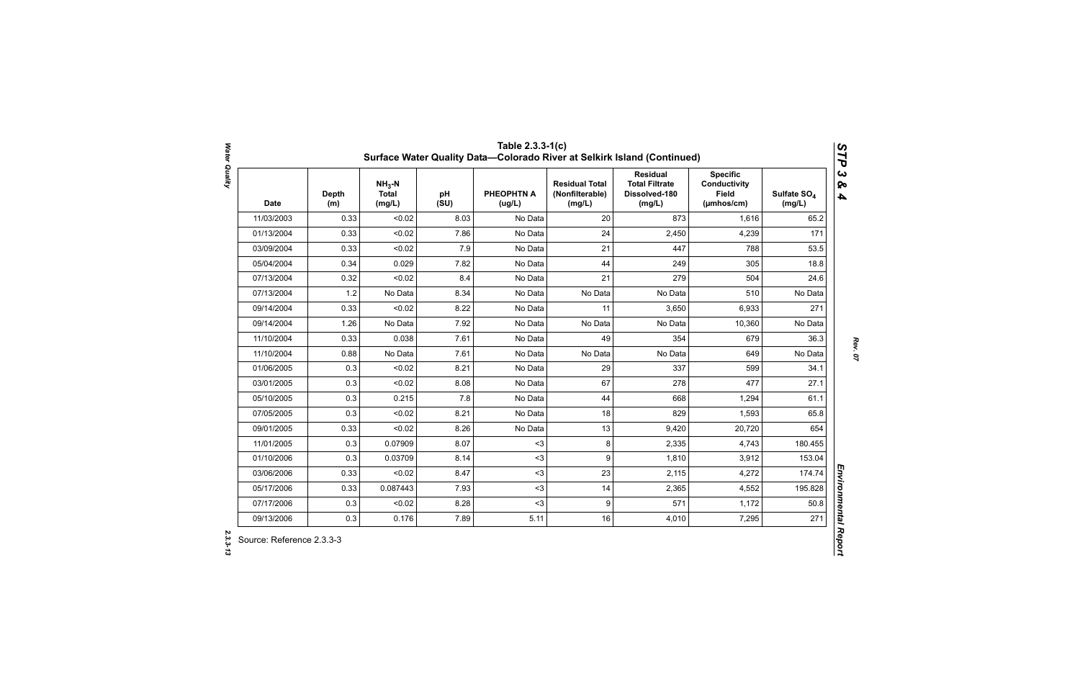| <b>Date</b> | <b>Depth</b><br>(m) | $NH3-N$<br><b>Total</b><br>(mg/L) | pH<br>(SU) | <b>PHEOPHTN A</b><br>(ug/L) | <b>Residual Total</b><br>(Nonfilterable)<br>(mg/L) | <b>Residual</b><br><b>Total Filtrate</b><br>Dissolved-180<br>(mg/L) | <b>Specific</b><br><b>Conductivity</b><br><b>Field</b><br>(µmhos/cm) | Sulfate SO <sub>4</sub><br>(mg/L) |
|-------------|---------------------|-----------------------------------|------------|-----------------------------|----------------------------------------------------|---------------------------------------------------------------------|----------------------------------------------------------------------|-----------------------------------|
| 11/03/2003  | 0.33                | < 0.02                            | 8.03       | No Data                     | 20                                                 | 873                                                                 | 1,616                                                                | 65.2                              |
| 01/13/2004  | 0.33                | < 0.02                            | 7.86       | No Data                     | 24                                                 | 2,450                                                               | 4,239                                                                | 171                               |
| 03/09/2004  | 0.33                | < 0.02                            | 7.9        | No Data                     | 21                                                 | 447                                                                 | 788                                                                  | 53.5                              |
| 05/04/2004  | 0.34                | 0.029                             | 7.82       | No Data                     | 44                                                 | 249                                                                 | 305                                                                  | 18.8                              |
| 07/13/2004  | 0.32                | < 0.02                            | 8.4        | No Data                     | 21                                                 | 279                                                                 | 504                                                                  | 24.6                              |
| 07/13/2004  | 1.2                 | No Data                           | 8.34       | No Data                     | No Data                                            | No Data                                                             | 510                                                                  | No Data                           |
| 09/14/2004  | 0.33                | < 0.02                            | 8.22       | No Data                     | 11                                                 | 3,650                                                               | 6,933                                                                | 271                               |
| 09/14/2004  | 1.26                | No Data                           | 7.92       | No Data                     | No Data                                            | No Data                                                             | 10,360                                                               | No Data                           |
| 11/10/2004  | 0.33                | 0.038                             | 7.61       | No Data                     | 49                                                 | 354                                                                 | 679                                                                  | 36.3                              |
| 11/10/2004  | 0.88                | No Data                           | 7.61       | No Data                     | No Data                                            | No Data                                                             | 649                                                                  | No Data                           |
| 01/06/2005  | 0.3                 | < 0.02                            | 8.21       | No Data                     | 29                                                 | 337                                                                 | 599                                                                  | 34.1                              |
| 03/01/2005  | 0.3                 | < 0.02                            | 8.08       | No Data                     | 67                                                 | 278                                                                 | 477                                                                  | 27.1                              |
| 05/10/2005  | 0.3                 | 0.215                             | 7.8        | No Data                     | 44                                                 | 668                                                                 | 1,294                                                                | 61.1                              |
| 07/05/2005  | 0.3                 | < 0.02                            | 8.21       | No Data                     | 18                                                 | 829                                                                 | 1,593                                                                | 65.8                              |
| 09/01/2005  | 0.33                | < 0.02                            | 8.26       | No Data                     | 13                                                 | 9,420                                                               | 20,720                                                               | 654                               |
| 11/01/2005  | 0.3                 | 0.07909                           | 8.07       | $3$                         | 8                                                  | 2,335                                                               | 4,743                                                                | 180.455                           |
| 01/10/2006  | 0.3                 | 0.03709                           | 8.14       | $3$                         | 9                                                  | 1,810                                                               | 3,912                                                                | 153.04                            |
| 03/06/2006  | 0.33                | < 0.02                            | 8.47       | $3$                         | 23                                                 | 2,115                                                               | 4,272                                                                | 174.74                            |
| 05/17/2006  | 0.33                | 0.087443                          | 7.93       | $3$                         | 14                                                 | 2,365                                                               | 4,552                                                                | 195.828                           |
| 07/17/2006  | 0.3                 | < 0.02                            | 8.28       | $3$                         | 9                                                  | 571                                                                 | 1,172                                                                | 50.8                              |
| 09/13/2006  | 0.3                 | 0.176                             | 7.89       | 5.11                        | 16                                                 | 4,010                                                               | 7,295                                                                | 271                               |

Water Quality *Water Quality 2.3.3-13*

2.3.3-13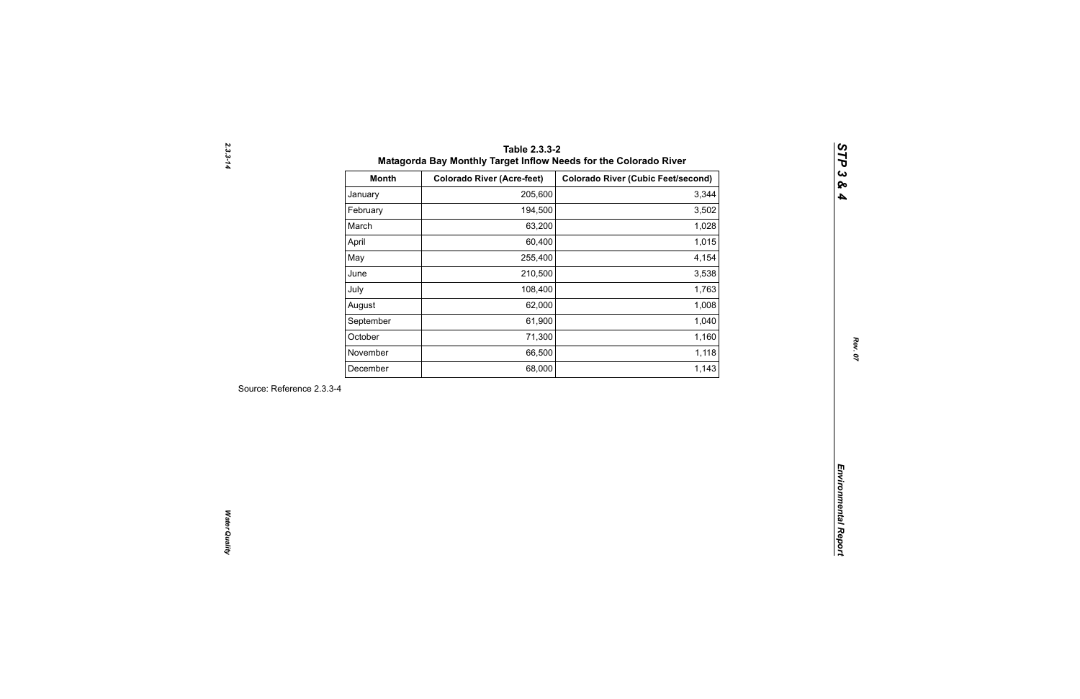| 205,600<br>January<br>194,500<br>February<br>March<br>63,200<br>60,400<br>April<br>May<br>255,400<br>210,500<br>June<br>108,400<br>July<br>62,000<br>August<br>61,900<br>September<br>October<br>71,300<br>66,500<br>November<br>68,000<br>December | 3,344<br>3,502<br>1,028<br>1,015<br>4,154<br>3,538<br>1,763<br>1,008<br>1,040 |
|-----------------------------------------------------------------------------------------------------------------------------------------------------------------------------------------------------------------------------------------------------|-------------------------------------------------------------------------------|
|                                                                                                                                                                                                                                                     |                                                                               |
|                                                                                                                                                                                                                                                     |                                                                               |
|                                                                                                                                                                                                                                                     |                                                                               |
|                                                                                                                                                                                                                                                     |                                                                               |
|                                                                                                                                                                                                                                                     |                                                                               |
|                                                                                                                                                                                                                                                     |                                                                               |
|                                                                                                                                                                                                                                                     |                                                                               |
|                                                                                                                                                                                                                                                     |                                                                               |
|                                                                                                                                                                                                                                                     |                                                                               |
|                                                                                                                                                                                                                                                     | 1,160                                                                         |
|                                                                                                                                                                                                                                                     | 1,118                                                                         |
|                                                                                                                                                                                                                                                     | 1,143                                                                         |
| Source: Reference 2.3.3-4                                                                                                                                                                                                                           |                                                                               |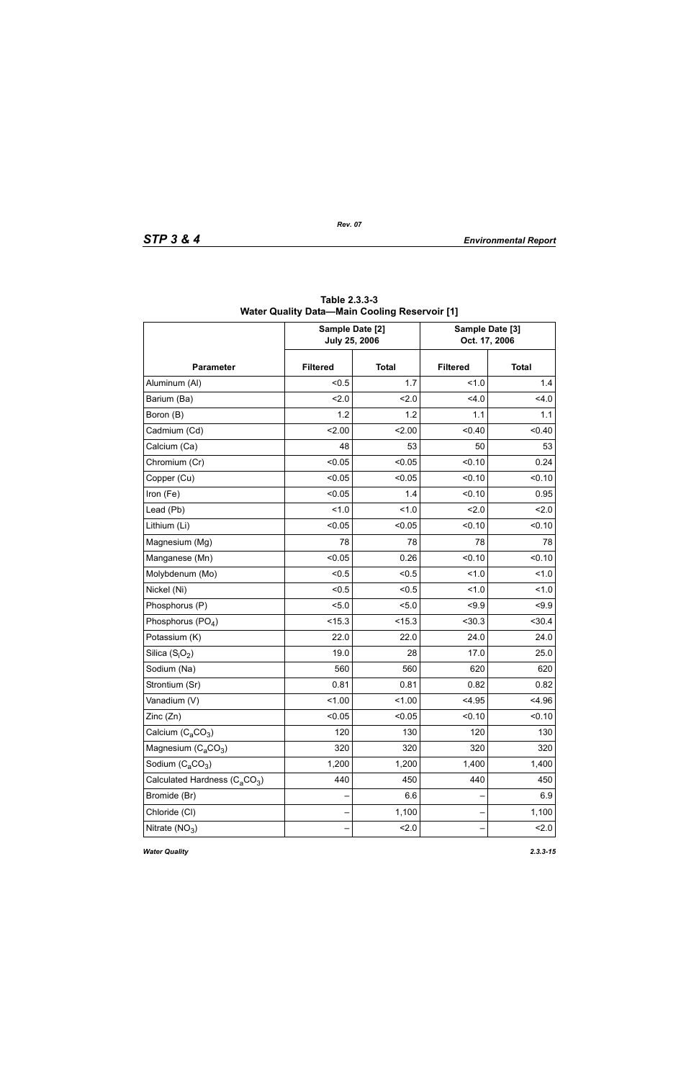|                                                       | Sample Date [2]<br><b>July 25, 2006</b> |              | Sample Date [3]<br>Oct. 17, 2006 |              |  |
|-------------------------------------------------------|-----------------------------------------|--------------|----------------------------------|--------------|--|
| <b>Parameter</b>                                      | <b>Filtered</b>                         | <b>Total</b> | <b>Filtered</b>                  | <b>Total</b> |  |
| Aluminum (Al)                                         | < 0.5                                   | 1.7          | 1.0                              | 1.4          |  |
| Barium (Ba)                                           | 2.0                                     | 2.0          | 4.0                              | 4.0          |  |
| Boron (B)                                             | 1.2                                     | 1.2          | 1.1                              | 1.1          |  |
| Cadmium (Cd)                                          | 2.00                                    | 2.00         | < 0.40                           | < 0.40       |  |
| Calcium (Ca)                                          | 48                                      | 53           | 50                               | 53           |  |
| Chromium (Cr)                                         | < 0.05                                  | < 0.05       | < 0.10                           | 0.24         |  |
| Copper (Cu)                                           | < 0.05                                  | < 0.05       | < 0.10                           | < 0.10       |  |
| Iron (Fe)                                             | < 0.05                                  | 1.4          | < 0.10                           | 0.95         |  |
| Lead (Pb)                                             | 1.0                                     | 1.0          | 2.0                              | 2.0          |  |
| Lithium (Li)                                          | < 0.05                                  | < 0.05       | < 0.10                           | < 0.10       |  |
| Magnesium (Mg)                                        | 78                                      | 78           | 78                               | 78           |  |
| Manganese (Mn)                                        | < 0.05                                  | 0.26         | < 0.10                           | < 0.10       |  |
| Molybdenum (Mo)                                       | < 0.5                                   | < 0.5        | 1.0                              | 1.0          |  |
| Nickel (Ni)                                           | < 0.5                                   | < 0.5        | 1.0                              | 1.0          |  |
| Phosphorus (P)                                        | < 5.0                                   | 5.0          | < 9.9                            | < 9.9        |  |
| Phosphorus $(PO4)$                                    | < 15.3                                  | < 15.3       | < 30.3                           | < 30.4       |  |
| Potassium (K)                                         | 22.0                                    | 22.0         | 24.0                             | 24.0         |  |
| Silica $(S_iO_2)$                                     | 19.0                                    | 28           | 17.0                             | 25.0         |  |
| Sodium (Na)                                           | 560                                     | 560          | 620                              | 620          |  |
| Strontium (Sr)                                        | 0.81                                    | 0.81         | 0.82                             | 0.82         |  |
| Vanadium (V)                                          | 1.00                                    | 1.00         | < 4.95                           | < 4.96       |  |
| Zinc (Zn)                                             | < 0.05                                  | < 0.05       | < 0.10                           | < 0.10       |  |
| Calcium $(C_2CO_3)$                                   | 120                                     | 130          | 120                              | 130          |  |
| Magnesium $(C_aCO_3)$                                 | 320                                     | 320          | 320                              | 320          |  |
| Sodium $(C_aCO_3)$                                    | 1,200                                   | 1,200        | 1,400                            | 1,400        |  |
| Calculated Hardness (C <sub>a</sub> CO <sub>3</sub> ) | 440                                     | 450          | 440                              | 450          |  |
| Bromide (Br)                                          |                                         | 6.6          |                                  | 6.9          |  |
| Chloride (CI)                                         |                                         | 1,100        |                                  | 1,100        |  |
| Nitrate $(NO3)$                                       |                                         | 2.0          |                                  | 2.0          |  |

**Table 2.3.3-3 Water Quality Data—Main Cooling Reservoir [1]**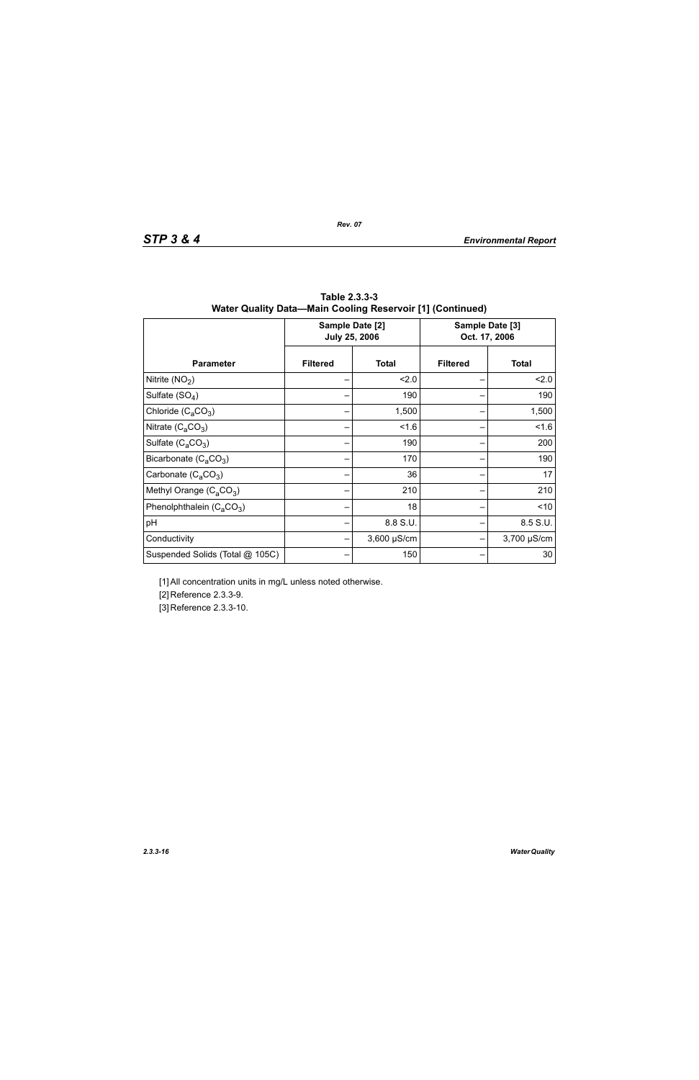|                                 |                 | Sample Date [2]<br><b>July 25, 2006</b> | Sample Date [3]<br>Oct. 17, 2006 |              |  |
|---------------------------------|-----------------|-----------------------------------------|----------------------------------|--------------|--|
| <b>Parameter</b>                | <b>Filtered</b> | <b>Total</b>                            | <b>Filtered</b>                  | <b>Total</b> |  |
| Nitrite $(NO2)$                 |                 | 2.0                                     |                                  | 2.0          |  |
| Sulfate $(SO4)$                 |                 | 190                                     |                                  | 190          |  |
| Chloride $(C_aCO_3)$            |                 | 1,500                                   |                                  | 1,500        |  |
| Nitrate $(C_4CO_3)$             |                 | 1.6                                     |                                  | 1.6          |  |
| Sulfate $(C_4CO_3)$             |                 | 190                                     |                                  | 200          |  |
| Bicarbonate $(C_aCO_3)$         |                 | 170                                     |                                  | 190          |  |
| Carbonate $(C_2CO_3)$           |                 | 36                                      |                                  | 17           |  |
| Methyl Orange $(C_aCO_3)$       |                 | 210                                     |                                  | 210          |  |
| Phenolphthalein $(C_4CO_3)$     |                 | 18                                      |                                  | < 10         |  |
| pH                              |                 | 8.8 S.U.                                |                                  | 8.5 S.U.     |  |
| Conductivity                    |                 | $3,600 \mu S/cm$                        |                                  | 3,700 µS/cm  |  |
| Suspended Solids (Total @ 105C) |                 | 150                                     |                                  | 30           |  |

**Table 2.3.3-3 Water Quality Data—Main Cooling Reservoir [1] (Continued)**

[1] All concentration units in mg/L unless noted otherwise.

[2] Reference 2.3.3-9.

[3] Reference 2.3.3-10.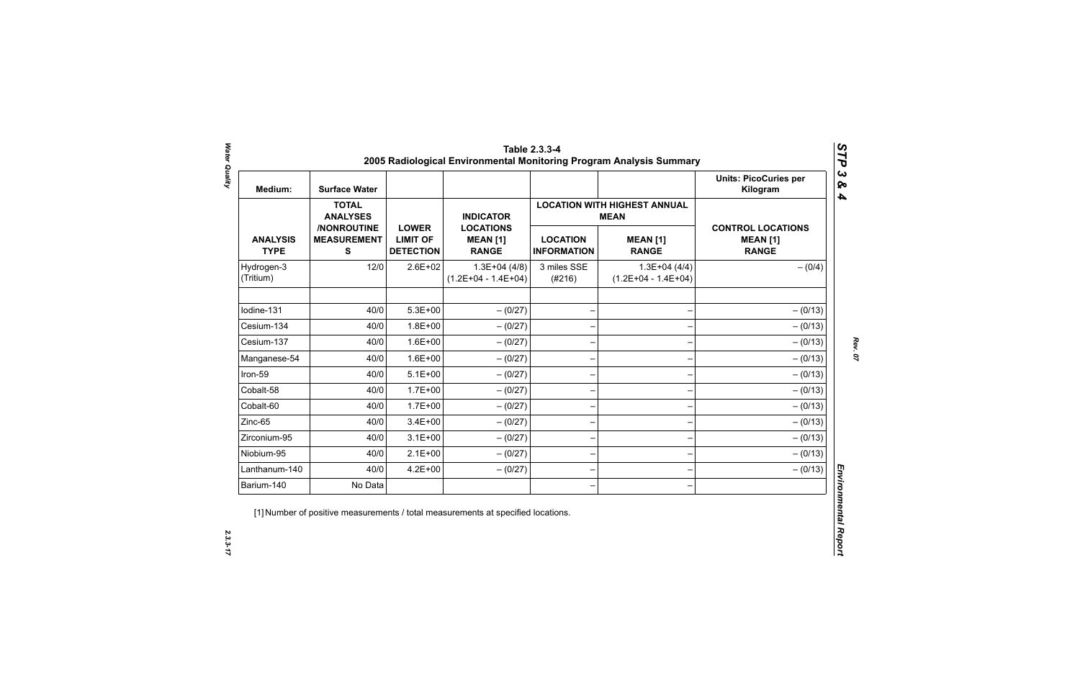| Medium:                        | <b>Surface Water</b>                             |                                                     |                                                     |                                       |                                                    | <b>Units: PicoCuries per</b><br>Kilogram                    |
|--------------------------------|--------------------------------------------------|-----------------------------------------------------|-----------------------------------------------------|---------------------------------------|----------------------------------------------------|-------------------------------------------------------------|
|                                | <b>TOTAL</b><br><b>ANALYSES</b>                  |                                                     | <b>INDICATOR</b>                                    |                                       | <b>LOCATION WITH HIGHEST ANNUAL</b><br><b>MEAN</b> |                                                             |
| <b>ANALYSIS</b><br><b>TYPE</b> | /NONROUTINE<br><b>MEASUREMENT</b><br>$\mathbf s$ | <b>LOWER</b><br><b>LIMIT OF</b><br><b>DETECTION</b> | <b>LOCATIONS</b><br><b>MEAN [1]</b><br><b>RANGE</b> | <b>LOCATION</b><br><b>INFORMATION</b> | <b>MEAN [1]</b><br><b>RANGE</b>                    | <b>CONTROL LOCATIONS</b><br><b>MEAN [1]</b><br><b>RANGE</b> |
| Hydrogen-3<br>(Tritium)        | 12/0                                             | $2.6E + 02$                                         | $1.3E+04(4/8)$<br>$(1.2E+04 - 1.4E+04)$             | 3 miles SSE<br>(#216)                 | $1.3E+04(4/4)$<br>$(1.2E+04 - 1.4E+04)$            | $- (0/4)$                                                   |
| Iodine-131                     | 40/0                                             | $5.3E + 00$                                         | $- (0/27)$                                          | $\overline{\phantom{0}}$              |                                                    | $- (0/13)$                                                  |
| Cesium-134                     | 40/0                                             | $1.8E + 00$                                         | $-(0/27)$                                           |                                       |                                                    | $- (0/13)$                                                  |
| Cesium-137                     | 40/0                                             | $1.6E + 00$                                         | $- (0/27)$                                          |                                       |                                                    | $- (0/13)$                                                  |
| Manganese-54                   | 40/0                                             | $1.6E + 00$                                         | $- (0/27)$                                          |                                       |                                                    | $- (0/13)$                                                  |
| Iron-59                        | 40/0                                             | $5.1E+00$                                           | $-(0/27)$                                           | $\overline{\phantom{0}}$              |                                                    | $- (0/13)$                                                  |
| Cobalt-58                      | 40/0                                             | $1.7E + 00$                                         | $-(0/27)$                                           | $\qquad \qquad$                       |                                                    | $- (0/13)$                                                  |
| Cobalt-60                      | 40/0                                             | $1.7E + 00$                                         | $-(0/27)$                                           | $\qquad \qquad$                       |                                                    | $- (0/13)$                                                  |
| Zinc-65                        | 40/0                                             | $3.4E + 00$                                         | $-(0/27)$                                           |                                       |                                                    | $- (0/13)$                                                  |
| Zirconium-95                   | 40/0                                             | $3.1E + 00$                                         | $-(0/27)$                                           | $\overline{\phantom{0}}$              |                                                    | $- (0/13)$                                                  |
| Niobium-95                     | 40/0                                             | $2.1E+00$                                           | $-(0/27)$                                           |                                       |                                                    | $- (0/13)$                                                  |
| Lanthanum-140                  | 40/0                                             | $4.2E + 00$                                         | $-(0/27)$                                           |                                       |                                                    | $- (0/13)$                                                  |
| Barium-140                     | No Data                                          |                                                     |                                                     |                                       |                                                    |                                                             |

 $2.3.3 - 17$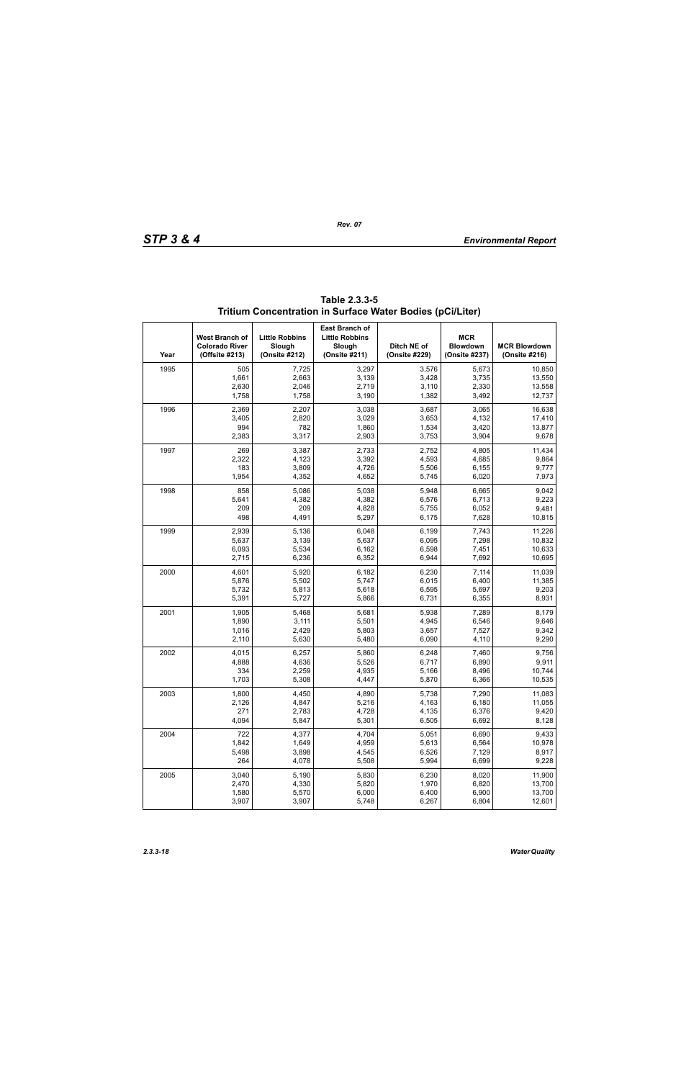| Year | West Branch of<br><b>Colorado River</b><br>(Offsite #213) | <b>Little Robbins</b><br>Slough<br>(Onsite #212) | <b>East Branch of</b><br><b>Little Robbins</b><br>Slough<br>(Onsite #211) | Ditch NE of<br>(Onsite #229) | <b>MCR</b><br><b>Blowdown</b><br>(Onsite #237) | <b>MCR Blowdown</b><br>(Onsite #216) |
|------|-----------------------------------------------------------|--------------------------------------------------|---------------------------------------------------------------------------|------------------------------|------------------------------------------------|--------------------------------------|
| 1995 | 505                                                       | 7,725                                            | 3,297                                                                     | 3,576                        | 5,673                                          | 10.850                               |
|      | 1,661                                                     | 2,663                                            | 3,139                                                                     | 3,428                        | 3,735                                          | 13,550                               |
|      | 2,630                                                     | 2,046                                            | 2,719                                                                     | 3,110                        | 2,330                                          | 13,558                               |
|      | 1,758                                                     | 1,758                                            | 3,190                                                                     | 1,382                        | 3,492                                          | 12,737                               |
| 1996 | 2,369                                                     | 2,207                                            | 3,038                                                                     | 3,687                        | 3,065                                          | 16,638                               |
|      | 3,405                                                     | 2,820                                            | 3,029                                                                     | 3,653                        | 4,132                                          | 17,410                               |
|      | 994                                                       | 782                                              | 1,860                                                                     | 1,534                        | 3,420                                          | 13,877                               |
|      | 2,383                                                     | 3,317                                            | 2,903                                                                     | 3,753                        | 3,904                                          | 9,678                                |
| 1997 | 269                                                       | 3,387                                            | 2,733                                                                     | 2,752                        | 4,805                                          | 11,434                               |
|      | 2,322                                                     | 4,123                                            | 3,392                                                                     | 4,593                        | 4,685                                          | 9,864                                |
|      | 183                                                       | 3,809                                            | 4,726                                                                     | 5,506                        | 6,155                                          | 9,777                                |
|      | 1,954                                                     | 4,352                                            | 4,652                                                                     | 5,745                        | 6,020                                          | 7,973                                |
| 1998 | 858                                                       | 5,086                                            | 5,038                                                                     | 5,948                        | 6,665                                          | 9,042                                |
|      | 5,641                                                     | 4,382                                            | 4,382                                                                     | 6,576                        | 6,713                                          | 9,223                                |
|      | 209                                                       | 209                                              | 4,828                                                                     | 5,755                        | 6,052                                          | 9,481                                |
|      | 498                                                       | 4,491                                            | 5,297                                                                     | 6,175                        | 7,628                                          | 10,815                               |
| 1999 | 2,939                                                     | 5,136                                            | 6,048                                                                     | 6,199                        | 7,743                                          | 11,226                               |
|      | 5,637                                                     | 3,139                                            | 5,637                                                                     | 6,095                        | 7,298                                          | 10,832                               |
|      | 6,093                                                     | 5,534                                            | 6,162                                                                     | 6,598                        | 7,451                                          | 10,633                               |
|      | 2,715                                                     | 6,236                                            | 6,352                                                                     | 6,944                        | 7,692                                          | 10,695                               |
| 2000 | 4,601                                                     | 5,920                                            | 6,182                                                                     | 6,230                        | 7,114                                          | 11,039                               |
|      | 5,876                                                     | 5,502                                            | 5,747                                                                     | 6,015                        | 6,400                                          | 11,385                               |
|      | 5,732                                                     | 5,813                                            | 5,618                                                                     | 6,595                        | 5,697                                          | 9,203                                |
|      | 5,391                                                     | 5,727                                            | 5,866                                                                     | 6,731                        | 6,355                                          | 8,931                                |
| 2001 | 1,905                                                     | 5,468                                            | 5,681                                                                     | 5,938                        | 7,289                                          | 8,179                                |
|      | 1,890                                                     | 3,111                                            | 5,501                                                                     | 4,945                        | 6,546                                          | 9,646                                |
|      | 1,016                                                     | 2,429                                            | 5,803                                                                     | 3,657                        | 7,527                                          | 9,342                                |
|      | 2,110                                                     | 5,630                                            | 5,480                                                                     | 6,090                        | 4,110                                          | 9,290                                |
| 2002 | 4,015                                                     | 6,257                                            | 5,860                                                                     | 6,248                        | 7,460                                          | 9,756                                |
|      | 4,888                                                     | 4,636                                            | 5,526                                                                     | 6,717                        | 6,890                                          | 9,911                                |
|      | 334                                                       | 2,259                                            | 4,935                                                                     | 5,166                        | 8,496                                          | 10,744                               |
|      | 1,703                                                     | 5,308                                            | 4,447                                                                     | 5,870                        | 6,366                                          | 10,535                               |
| 2003 | 1,800                                                     | 4,450                                            | 4,890                                                                     | 5,738                        | 7,290                                          | 11,083                               |
|      | 2,126                                                     | 4,847                                            | 5,216                                                                     | 4,163                        | 6,180                                          | 11,055                               |
|      | 271                                                       | 2,783                                            | 4,728                                                                     | 4,135                        | 6,376                                          | 9,420                                |
|      | 4,094                                                     | 5,847                                            | 5,301                                                                     | 6,505                        | 6,692                                          | 8,128                                |
| 2004 | 722                                                       | 4,377                                            | 4,704                                                                     | 5,051                        | 6,690                                          | 9,433                                |
|      | 1,842                                                     | 1,649                                            | 4,959                                                                     | 5,613                        | 6,564                                          | 10,978                               |
|      | 5,498                                                     | 3,898                                            | 4,545                                                                     | 6,526                        | 7,129                                          | 8,917                                |
|      | 264                                                       | 4,078                                            | 5,508                                                                     | 5,994                        | 6,699                                          | 9,228                                |
| 2005 | 3,040                                                     | 5,190                                            | 5,830                                                                     | 6,230                        | 8,020                                          | 11,900                               |
|      | 2,470                                                     | 4,330                                            | 5,820                                                                     | 1,970                        | 6,820                                          | 13,700                               |
|      | 1,580                                                     | 5,570                                            | 6,000                                                                     | 6,400                        | 6,900                                          | 13,700                               |
|      | 3,907                                                     | 3,907                                            | 5,748                                                                     | 6,267                        | 6,804                                          | 12,601                               |

**Table 2.3.3-5 Tritium Concentration in Surface Water Bodies (pCi/Liter)**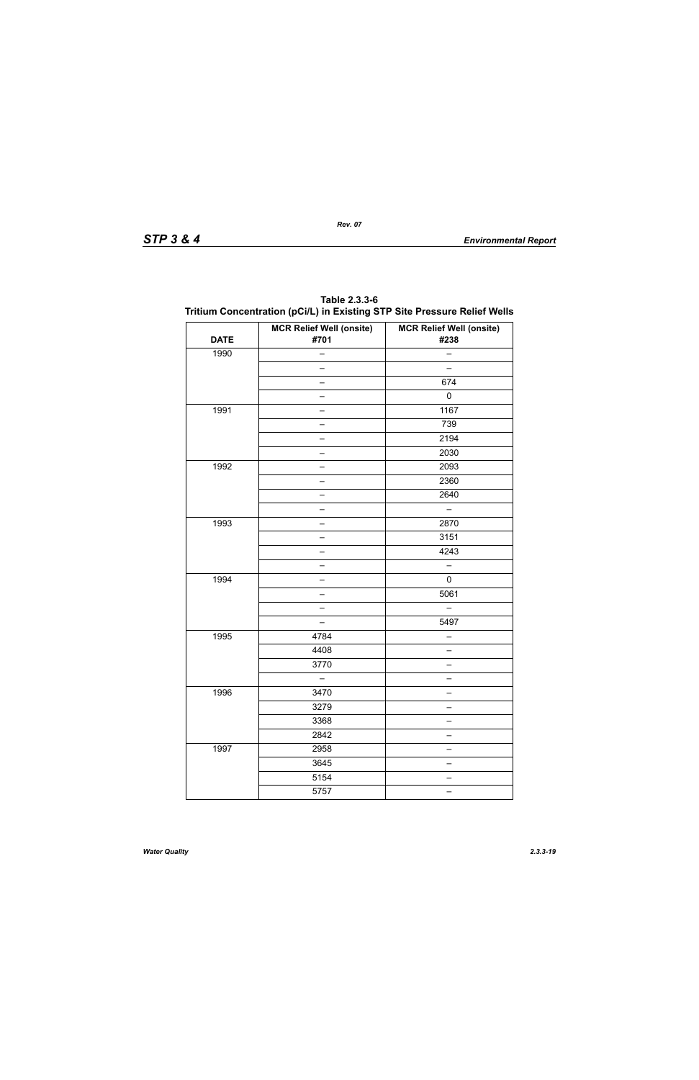| <b>DATE</b> | <b>MCR Relief Well (onsite)</b><br>#701 | <b>MCR Relief Well (onsite)</b><br>#238 |
|-------------|-----------------------------------------|-----------------------------------------|
| 1990        |                                         |                                         |
|             |                                         | $\equiv$                                |
|             |                                         | 674                                     |
|             |                                         | $\pmb{0}$                               |
| 1991        | Ξ.                                      | 1167                                    |
|             |                                         | 739                                     |
|             |                                         | 2194                                    |
|             | Ξ.                                      | 2030                                    |
| 1992        |                                         | 2093                                    |
|             |                                         | 2360                                    |
|             | ÷,                                      | 2640                                    |
|             |                                         |                                         |
| 1993        |                                         | 2870                                    |
|             | ÷,                                      | 3151                                    |
|             |                                         | 4243                                    |
|             |                                         |                                         |
| 1994        | ÷,                                      | $\pmb{0}$                               |
|             |                                         | 5061                                    |
|             |                                         |                                         |
|             | $\overline{\phantom{0}}$                | 5497                                    |
| 1995        | 4784                                    |                                         |
|             | 4408                                    |                                         |
|             | 3770                                    | $\overline{\phantom{0}}$                |
|             |                                         |                                         |
| 1996        | 3470                                    |                                         |
|             | 3279                                    |                                         |
|             | 3368                                    |                                         |
|             | 2842                                    |                                         |
| 1997        | 2958                                    |                                         |
|             | 3645                                    | —                                       |
|             | 5154                                    |                                         |
|             | 5757                                    | $\equiv$                                |

**Table 2.3.3-6 Tritium Concentration (pCi/L) in Existing STP Site Pressure Relief Wells**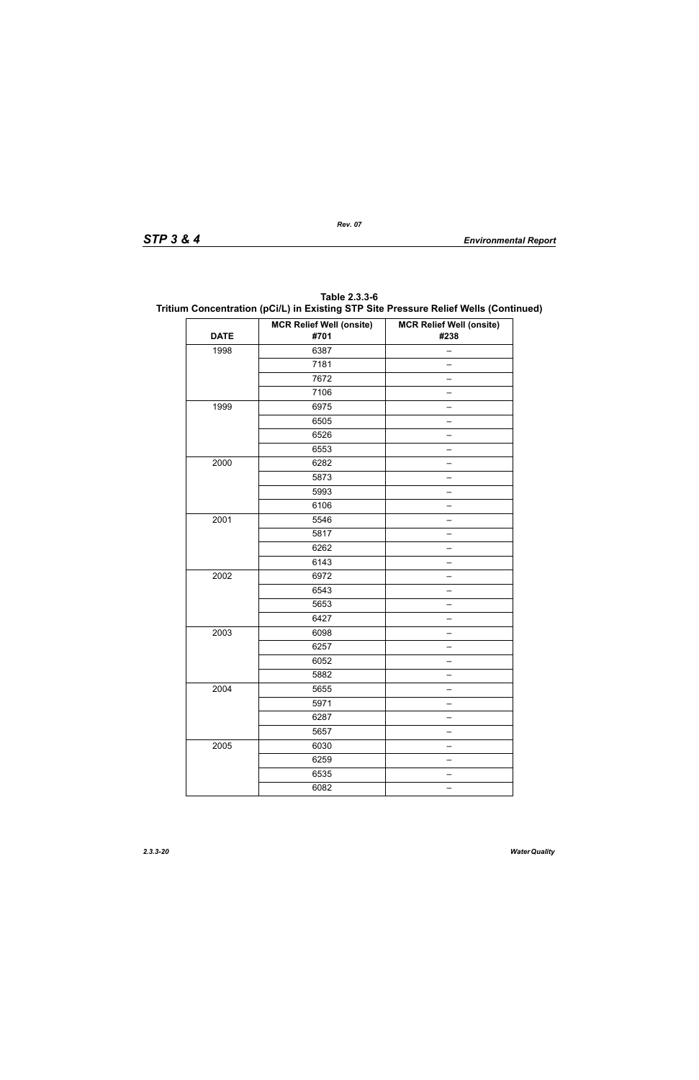| Table 2.3.3-6                                                                        |
|--------------------------------------------------------------------------------------|
| Tritium Concentration (pCi/L) in Existing STP Site Pressure Relief Wells (Continued) |

|             | <b>MCR Relief Well (onsite)</b> | <b>MCR Relief Well (onsite)</b> |
|-------------|---------------------------------|---------------------------------|
| <b>DATE</b> | #701                            | #238                            |
| 1998        | 6387                            |                                 |
|             | 7181                            |                                 |
|             | 7672                            |                                 |
|             | 7106                            |                                 |
| 1999        | 6975                            |                                 |
|             | 6505                            |                                 |
|             | 6526                            |                                 |
|             | 6553                            |                                 |
| 2000        | 6282                            |                                 |
|             | 5873                            |                                 |
|             | 5993                            |                                 |
|             | 6106                            |                                 |
| 2001        | 5546                            |                                 |
|             | 5817                            |                                 |
|             | 6262                            |                                 |
|             | 6143                            |                                 |
| 2002        | 6972                            |                                 |
|             | 6543                            |                                 |
|             | 5653                            |                                 |
|             | 6427                            |                                 |
| 2003        | 6098                            |                                 |
|             | 6257                            |                                 |
|             | 6052                            |                                 |
|             | 5882                            |                                 |
| 2004        | 5655                            |                                 |
|             | 5971                            |                                 |
|             | 6287                            |                                 |
|             | 5657                            |                                 |
| 2005        | 6030                            |                                 |
|             | 6259                            |                                 |
|             | 6535                            |                                 |
|             | 6082                            |                                 |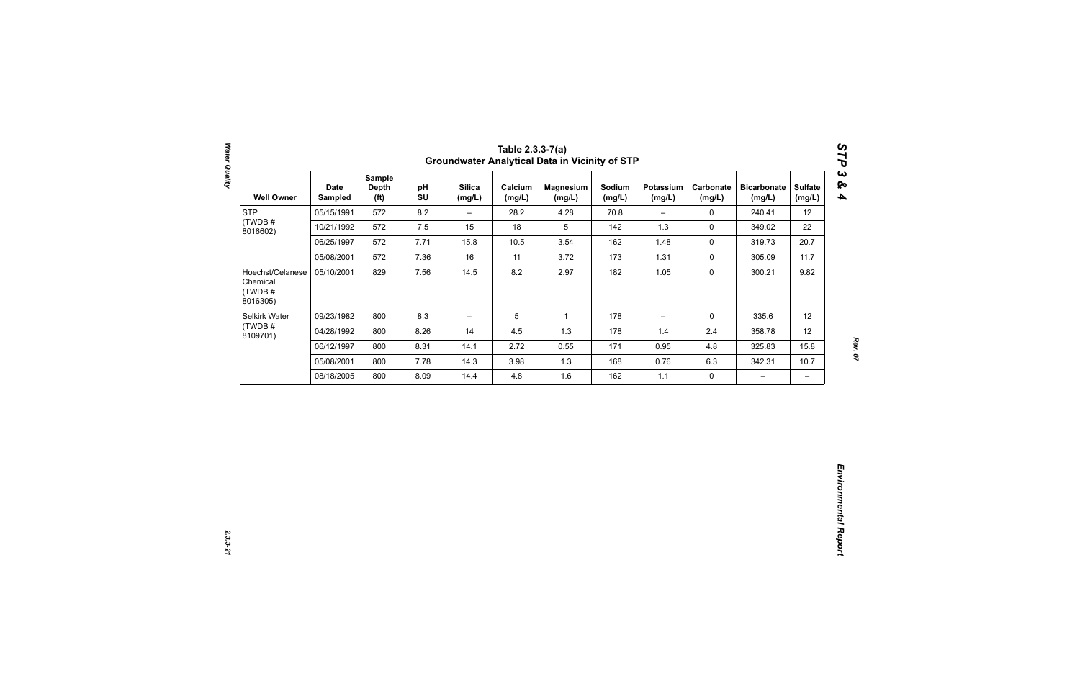| 12<br>22<br>20.7<br>11.7<br>9.82 |
|----------------------------------|
|                                  |
|                                  |
|                                  |
|                                  |
|                                  |
| 12                               |
| 12                               |
| 15.8                             |
| 10.7                             |
| $\qquad \qquad -$                |
|                                  |

Water Quality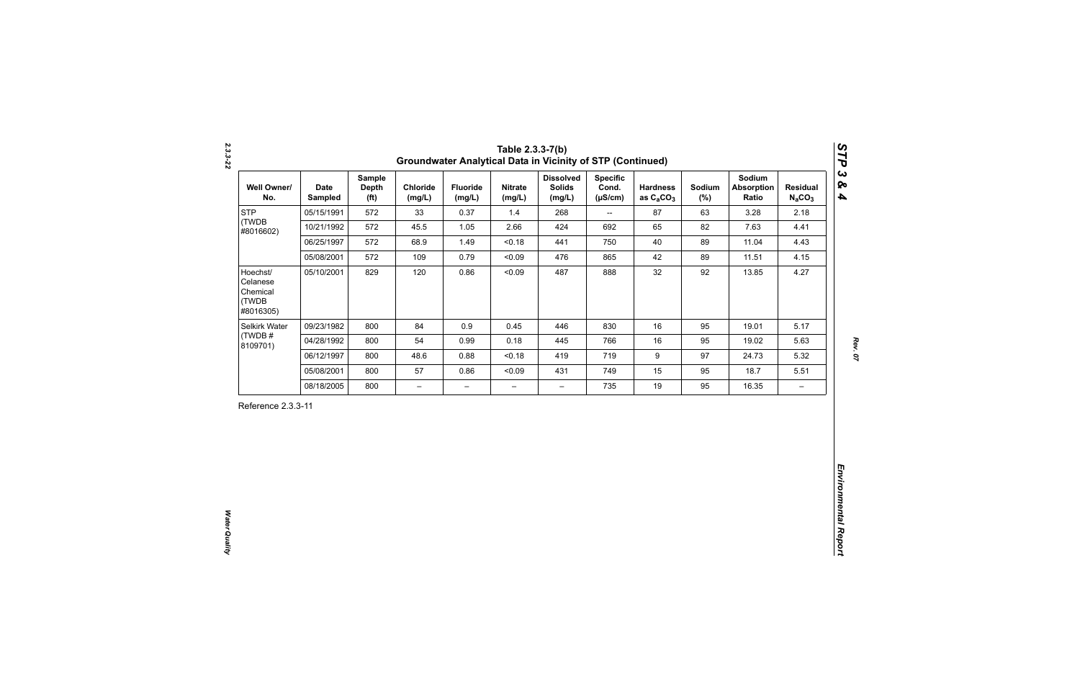| <b>STP</b><br>(TWDB                                    |            | <b>Depth</b><br>(f <sup>t</sup> ) | Chloride<br>(mg/L)       | <b>Fluoride</b><br>(mg/L) | <b>Nitrate</b><br>(mg/L) | <b>Dissolved</b><br><b>Solids</b><br>(mg/L) | <b>Specific</b><br>Cond.<br>$(\mu S/cm)$ | <b>Hardness</b><br>as $C_2CO_3$ | Sodium<br>$(\%)$ | Sodium<br><b>Absorption</b><br>Ratio | <b>Residual</b><br>$N_aCO_3$ |
|--------------------------------------------------------|------------|-----------------------------------|--------------------------|---------------------------|--------------------------|---------------------------------------------|------------------------------------------|---------------------------------|------------------|--------------------------------------|------------------------------|
| #8016602)                                              | 05/15/1991 | 572                               | 33                       | 0.37                      | 1.4                      | 268                                         | $\overline{\phantom{a}}$                 | 87                              | 63               | 3.28                                 | 2.18                         |
|                                                        | 10/21/1992 | 572                               | 45.5                     | 1.05                      | 2.66                     | 424                                         | 692                                      | 65                              | 82               | 7.63                                 | 4.41                         |
|                                                        | 06/25/1997 | 572                               | 68.9                     | 1.49                      | < 0.18                   | 441                                         | 750                                      | 40                              | 89               | 11.04                                | 4.43                         |
|                                                        | 05/08/2001 | 572                               | 109                      | 0.79                      | < 0.09                   | 476                                         | 865                                      | 42                              | 89               | 11.51                                | 4.15                         |
| Hoechst/<br>Celanese<br>Chemical<br>(TWDB<br>#8016305) | 05/10/2001 | 829                               | 120                      | 0.86                      | < 0.09                   | 487                                         | 888                                      | 32                              | 92               | 13.85                                | 4.27                         |
| Selkirk Water                                          | 09/23/1982 | 800                               | 84                       | 0.9                       | 0.45                     | 446                                         | 830                                      | 16                              | 95               | 19.01                                | 5.17                         |
| (TWDB#<br>8109701)                                     | 04/28/1992 | 800                               | 54                       | 0.99                      | 0.18                     | 445                                         | 766                                      | 16                              | 95               | 19.02                                | 5.63                         |
|                                                        | 06/12/1997 | 800                               | 48.6                     | 0.88                      | < 0.18                   | 419                                         | 719                                      | $\boldsymbol{9}$                | 97               | 24.73                                | 5.32                         |
|                                                        | 05/08/2001 | 800                               | 57                       | 0.86                      | < 0.09                   | 431                                         | 749                                      | 15                              | 95               | 18.7                                 | 5.51                         |
|                                                        | 08/18/2005 | 800                               | $\overline{\phantom{0}}$ | $\overline{\phantom{m}}$  | $\overline{\phantom{0}}$ | $\overline{\phantom{0}}$                    | 735                                      | 19                              | 95               | 16.35                                | $\overline{\phantom{m}}$     |

*2.3.3-22*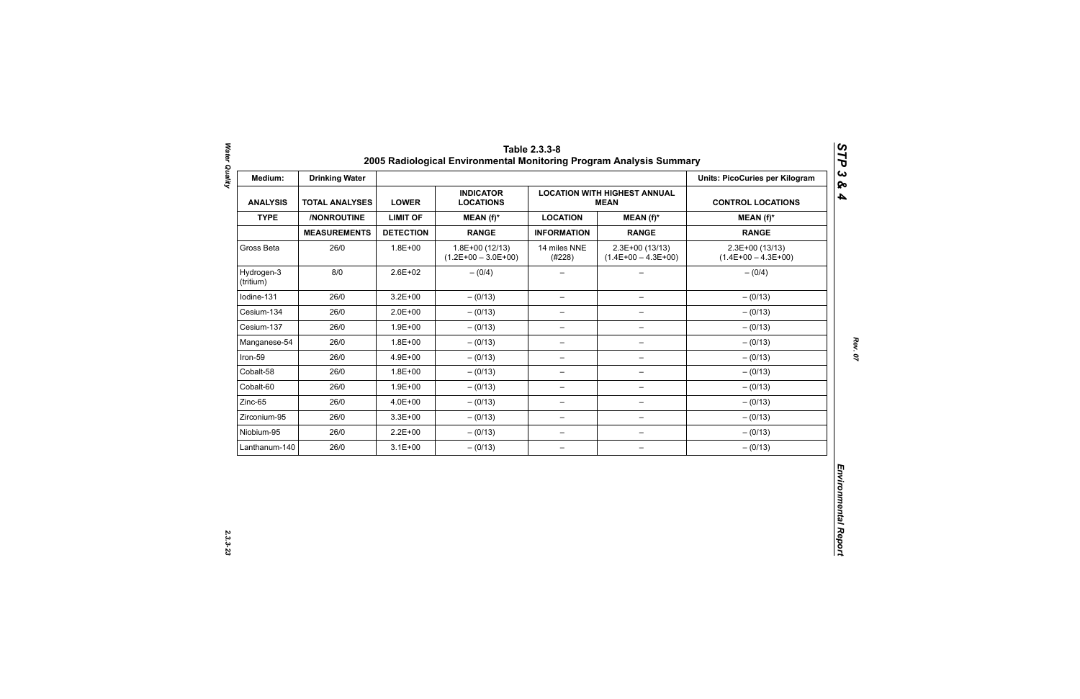| Medium:                 | <b>Drinking Water</b> |                  |                                           |                          |                                                    | <b>Units: PicoCuries per Kilogram</b>     |
|-------------------------|-----------------------|------------------|-------------------------------------------|--------------------------|----------------------------------------------------|-------------------------------------------|
| <b>ANALYSIS</b>         | <b>TOTAL ANALYSES</b> | <b>LOWER</b>     | <b>INDICATOR</b><br><b>LOCATIONS</b>      |                          | <b>LOCATION WITH HIGHEST ANNUAL</b><br><b>MEAN</b> | <b>CONTROL LOCATIONS</b>                  |
| <b>TYPE</b>             | /NONROUTINE           | <b>LIMIT OF</b>  | $MEAN(f)^*$                               | <b>LOCATION</b>          | $MEAN(f)^*$                                        | $MEAN(f)^*$                               |
|                         | <b>MEASUREMENTS</b>   | <b>DETECTION</b> | <b>RANGE</b>                              | <b>INFORMATION</b>       | <b>RANGE</b>                                       | <b>RANGE</b>                              |
| Gross Beta              | 26/0                  | $1.8E + 00$      | $1.8E+00(12/13)$<br>$(1.2E+00 - 3.0E+00)$ | 14 miles NNE<br>(#228)   | $2.3E+00(13/13)$<br>$(1.4E+00 - 4.3E+00)$          | $2.3E+00(13/13)$<br>$(1.4E+00 - 4.3E+00)$ |
| Hydrogen-3<br>(tritium) | 8/0                   | $2.6E + 02$      | $- (0/4)$                                 |                          |                                                    | $- (0/4)$                                 |
| Iodine-131              | 26/0                  | $3.2E + 00$      | $- (0/13)$                                | $-$                      | $\qquad \qquad -$                                  | $- (0/13)$                                |
| Cesium-134              | 26/0                  | $2.0E + 00$      | $- (0/13)$                                | $\overline{\phantom{m}}$ | $-$                                                | $- (0/13)$                                |
| Cesium-137              | 26/0                  | $1.9E + 00$      | $- (0/13)$                                | —                        | -                                                  | $- (0/13)$                                |
| Manganese-54            | 26/0                  | $1.8E + 00$      | $- (0/13)$                                | $\overline{\phantom{0}}$ | $\overline{\phantom{0}}$                           | $- (0/13)$                                |
| Iron-59                 | 26/0                  | 4.9E+00          | $- (0/13)$                                | $\overline{\phantom{0}}$ | $\qquad \qquad -$                                  | $- (0/13)$                                |
| Cobalt-58               | 26/0                  | $1.8E + 00$      | $- (0/13)$                                | $\overline{\phantom{a}}$ | $-$                                                | $- (0/13)$                                |
| Cobalt-60               | 26/0                  | $1.9E + 00$      | $- (0/13)$                                | $\overline{\phantom{0}}$ | $\qquad \qquad -$                                  | $- (0/13)$                                |
| Zinc-65                 | 26/0                  | 4.0E+00          | $- (0/13)$                                | —                        | $\qquad \qquad -$                                  | $- (0/13)$                                |
| Zirconium-95            | 26/0                  | $3.3E + 00$      | $- (0/13)$                                | $\qquad \qquad -$        | $\overline{\phantom{m}}$                           | $- (0/13)$                                |
| Niobium-95              | 26/0                  | $2.2E + 00$      | $- (0/13)$                                | $\qquad \qquad -$        | $\overline{\phantom{m}}$                           | $- (0/13)$                                |
| Lanthanum-140           | 26/0                  | $3.1E + 00$      | $- (0/13)$                                | $\qquad \qquad -$        | -                                                  | $- (0/13)$                                |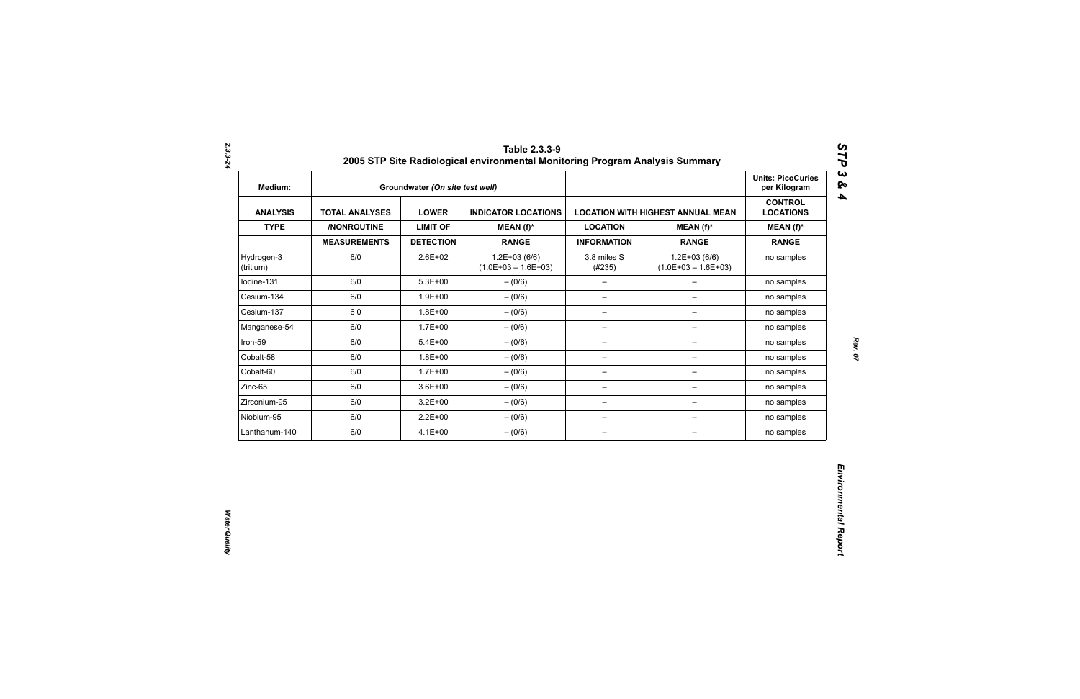| Medium:                 |                       | Groundwater (On site test well) |                                           |                          |                                          | <b>Units: PicoCuries</b><br>per Kilogram |
|-------------------------|-----------------------|---------------------------------|-------------------------------------------|--------------------------|------------------------------------------|------------------------------------------|
| <b>ANALYSIS</b>         | <b>TOTAL ANALYSES</b> | <b>LOWER</b>                    | <b>INDICATOR LOCATIONS</b>                |                          | <b>LOCATION WITH HIGHEST ANNUAL MEAN</b> | <b>CONTROL</b><br><b>LOCATIONS</b>       |
| <b>TYPE</b>             | /NONROUTINE           | <b>LIMIT OF</b>                 | $MEAN(f)^*$                               | <b>LOCATION</b>          | MEAN $(f)^*$                             | $MEAN(f)^*$                              |
|                         | <b>MEASUREMENTS</b>   | <b>DETECTION</b>                | <b>RANGE</b>                              | <b>INFORMATION</b>       | <b>RANGE</b>                             | <b>RANGE</b>                             |
| Hydrogen-3<br>(tritium) | 6/0                   | 2.6E+02                         | $1.2E + 03(6/6)$<br>$(1.0E+03 - 1.6E+03)$ | 3.8 miles S<br>(#235)    | $1.2E+03(6/6)$<br>$(1.0E+03 - 1.6E+03)$  | no samples                               |
| lodine-131              | 6/0                   | $5.3E + 00$                     | $- (0/6)$                                 | $\qquad \qquad -$        | $\overline{\phantom{0}}$                 | no samples                               |
| Cesium-134              | 6/0                   | $1.9E + 00$                     | $- (0/6)$                                 | $\qquad \qquad -$        | $\overline{\phantom{0}}$                 | no samples                               |
| Cesium-137              | 60                    | $1.8E + 00$                     | $-(0/6)$                                  | $\overline{\phantom{a}}$ | $\qquad \qquad -$                        | no samples                               |
| Manganese-54            | 6/0                   | $1.7E + 00$                     | $- (0/6)$                                 | $\overline{\phantom{m}}$ | -                                        | no samples                               |
| Iron-59                 | 6/0                   | $5.4E + 00$                     | $- (0/6)$                                 | $\qquad \qquad -$        | -                                        | no samples                               |
| Cobalt-58               | 6/0                   | $1.8E + 00$                     | $- (0/6)$                                 | $\overline{\phantom{m}}$ | $\qquad \qquad -$                        | no samples                               |
| Cobalt-60               | 6/0                   | $1.7E + 00$                     | $- (0/6)$                                 | $\overline{\phantom{m}}$ | $\qquad \qquad -$                        | no samples                               |
| Zinc-65                 | 6/0                   | $3.6E + 00$                     | $-(0/6)$                                  | $\overline{\phantom{m}}$ | $\qquad \qquad -$                        | no samples                               |
| Zirconium-95            | 6/0                   | $3.2E + 00$                     | $-(0/6)$                                  | $\qquad \qquad -$        | -                                        | no samples                               |
| Niobium-95              | 6/0                   | $2.2E + 00$                     | $-(0/6)$                                  | $\qquad \qquad -$        | $\overline{\phantom{a}}$                 | no samples                               |
| Lanthanum-140           | 6/0                   | $4.1E + 00$                     | $-(0/6)$                                  | $\qquad \qquad -$        | $\qquad \qquad -$                        | no samples                               |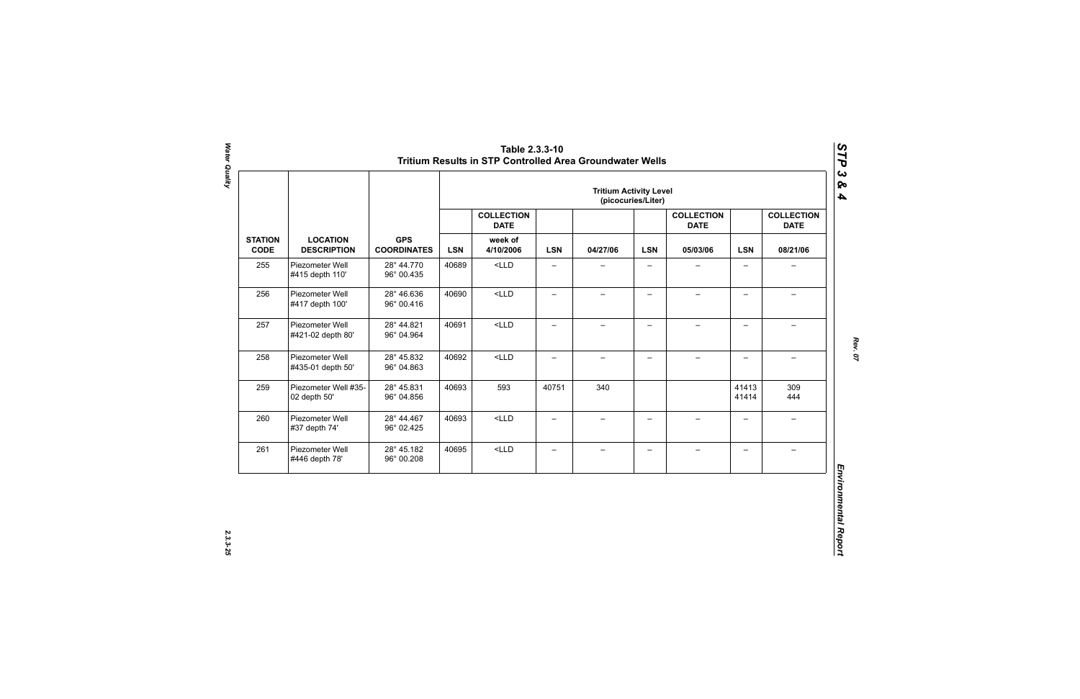|                               |                                       |                                  | <b>Tritium Activity Level</b><br>(picocuries/Liter) |                                  |                          |                          |                          |                                  |                          |                                  |            |          |
|-------------------------------|---------------------------------------|----------------------------------|-----------------------------------------------------|----------------------------------|--------------------------|--------------------------|--------------------------|----------------------------------|--------------------------|----------------------------------|------------|----------|
|                               |                                       |                                  |                                                     | <b>COLLECTION</b><br><b>DATE</b> |                          |                          |                          | <b>COLLECTION</b><br><b>DATE</b> |                          | <b>COLLECTION</b><br><b>DATE</b> |            |          |
| <b>STATION</b><br><b>CODE</b> | <b>LOCATION</b><br><b>DESCRIPTION</b> | <b>GPS</b><br><b>COORDINATES</b> |                                                     |                                  | <b>LSN</b>               | week of<br>4/10/2006     | <b>LSN</b>               | 04/27/06                         | <b>LSN</b>               | 05/03/06                         | <b>LSN</b> | 08/21/06 |
| 255                           | Piezometer Well<br>#415 depth 110'    | 28° 44.770<br>96° 00.435         | 40689                                               | $<$ LLD                          | $\overline{\phantom{0}}$ |                          |                          |                                  | $\overline{\phantom{0}}$ |                                  |            |          |
| 256                           | Piezometer Well<br>#417 depth 100'    | 28° 46.636<br>96° 00.416         | 40690                                               | $<$ LLD                          | $\qquad \qquad -$        | $\overline{\phantom{0}}$ | $\qquad \qquad -$        |                                  | $\overline{\phantom{0}}$ |                                  |            |          |
| 257                           | Piezometer Well<br>#421-02 depth 80'  | 28° 44.821<br>96° 04.964         | 40691                                               | $<$ LLD                          | $\overline{\phantom{0}}$ | $\overline{\phantom{0}}$ | $\overline{\phantom{0}}$ | $\overline{\phantom{0}}$         | $\overline{\phantom{0}}$ | $\equiv$                         |            |          |
| 258                           | Piezometer Well<br>#435-01 depth 50'  | 28° 45.832<br>96° 04.863         | 40692                                               | $<$ LLD                          | $\overline{\phantom{0}}$ | $\overline{\phantom{0}}$ | $\overline{\phantom{0}}$ | $\!-$                            | $\overline{\phantom{0}}$ | $\overline{\phantom{m}}$         |            |          |
| 259                           | Piezometer Well #35-<br>02 depth 50'  | 28° 45.831<br>96° 04.856         | 40693                                               | 593                              | 40751                    | 340                      |                          |                                  | 41413<br>41414           | 309<br>444                       |            |          |
| 260                           | Piezometer Well<br>#37 depth 74'      | 28° 44.467<br>96° 02.425         | 40693                                               | $<$ LLD                          | $\overline{\phantom{0}}$ | $\overline{\phantom{0}}$ | $\overline{\phantom{0}}$ | $\equiv$                         | $\overline{\phantom{0}}$ | $\rightarrow$                    |            |          |
| 261                           | Piezometer Well<br>#446 depth 78'     | 28° 45.182<br>96° 00.208         | 40695                                               | $<$ LLD                          | $\qquad \qquad -$        | $\qquad \qquad -$        | $\overline{\phantom{m}}$ | $\qquad \qquad -$                | $\overline{\phantom{0}}$ | $\overline{\phantom{0}}$         |            |          |

2.3.3-25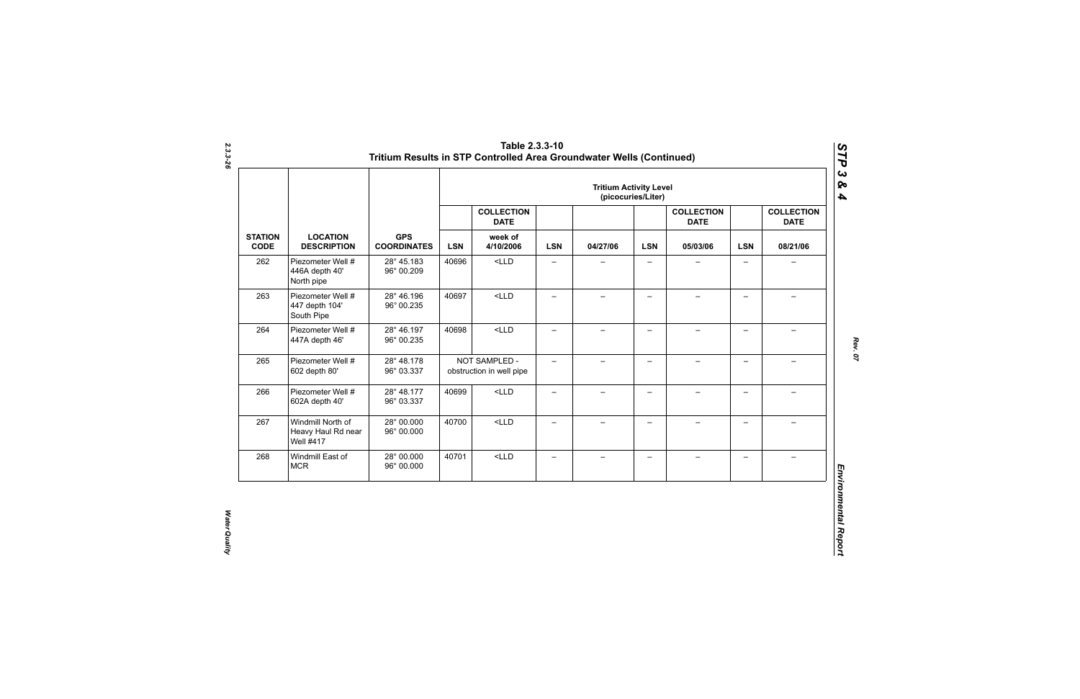|                               |                                                             |                                  | <b>Tritium Activity Level</b><br>(picocuries/Liter) |                                           |                          |                          |                          |                                  |                          |                                  |            |          |
|-------------------------------|-------------------------------------------------------------|----------------------------------|-----------------------------------------------------|-------------------------------------------|--------------------------|--------------------------|--------------------------|----------------------------------|--------------------------|----------------------------------|------------|----------|
|                               |                                                             |                                  |                                                     | <b>COLLECTION</b><br><b>DATE</b>          |                          |                          |                          | <b>COLLECTION</b><br><b>DATE</b> |                          | <b>COLLECTION</b><br><b>DATE</b> |            |          |
| <b>STATION</b><br><b>CODE</b> | <b>LOCATION</b><br><b>DESCRIPTION</b>                       | <b>GPS</b><br><b>COORDINATES</b> |                                                     |                                           | <b>LSN</b>               | week of<br>4/10/2006     | <b>LSN</b>               | 04/27/06                         | <b>LSN</b>               | 05/03/06                         | <b>LSN</b> | 08/21/06 |
| 262                           | Piezometer Well #<br>446A depth 40'<br>North pipe           | 28° 45.183<br>96° 00.209         | 40696                                               | $<$ LLD                                   | $\qquad \qquad -$        | —                        | $\overline{\phantom{0}}$ |                                  | $\qquad \qquad -$        | $\overline{\phantom{0}}$         |            |          |
| 263                           | Piezometer Well #<br>447 depth 104'<br>South Pipe           | 28° 46.196<br>96° 00.235         | 40697                                               | $<$ LLD                                   | $\overline{\phantom{0}}$ | $\overline{\phantom{0}}$ | $\overline{\phantom{0}}$ |                                  | $\qquad \qquad -$        |                                  |            |          |
| 264                           | Piezometer Well #<br>447A depth 46'                         | 28° 46.197<br>96° 00.235         | 40698                                               | $<$ LLD                                   | —                        | $\overline{\phantom{0}}$ | $\overline{\phantom{0}}$ |                                  | $\overline{\phantom{0}}$ |                                  |            |          |
| 265                           | Piezometer Well #<br>602 depth 80'                          | 28° 48.178<br>96° 03.337         |                                                     | NOT SAMPLED -<br>obstruction in well pipe | $-$                      | $-$                      | $\overline{\phantom{0}}$ |                                  | $\overline{\phantom{0}}$ |                                  |            |          |
| 266                           | Piezometer Well #<br>602A depth 40'                         | 28° 48.177<br>96° 03.337         | 40699                                               | $<$ LLD                                   | $\qquad \qquad -$        | $\overline{\phantom{0}}$ | $\qquad \qquad -$        |                                  | $\overline{\phantom{0}}$ |                                  |            |          |
| 267                           | Windmill North of<br>Heavy Haul Rd near<br><b>Well #417</b> | 28° 00.000<br>96° 00.000         | 40700                                               | $<$ LLD                                   | $\equiv$                 | $\overline{\phantom{0}}$ | $-$                      | $\!-$                            | $\overline{\phantom{0}}$ | $\overline{\phantom{0}}$         |            |          |
| 268                           | Windmill East of<br><b>MCR</b>                              | 28° 00.000<br>96° 00.000         | 40701                                               | $<$ LLD                                   | $\qquad \qquad -$        | $\overline{\phantom{0}}$ | —                        |                                  | $\qquad \qquad -$        |                                  |            |          |

*2.3.3-26*

*Rev. 07*